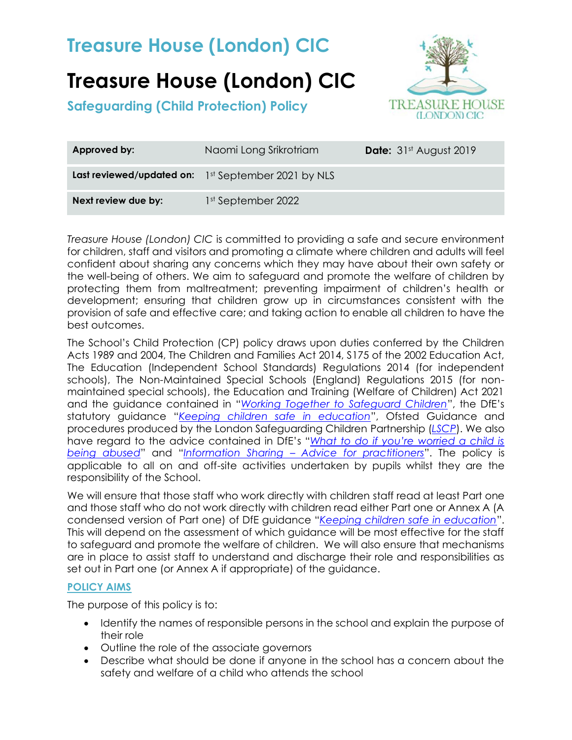# **Treasure House (London) CIC**

**Safeguarding (Child Protection) Policy**



| Approved by:        | Naomi Long Srikrotriam                              | <b>Date:</b> 31st August 2019 |
|---------------------|-----------------------------------------------------|-------------------------------|
|                     | Last reviewed/updated on: 1st September 2021 by NLS |                               |
| Next review due by: | 1st September 2022                                  |                               |

*Treasure House (London) CIC* is committed to providing a safe and secure environment for children, staff and visitors and promoting a climate where children and adults will feel confident about sharing any concerns which they may have about their own safety or the well-being of others. We aim to safeguard and promote the welfare of children by protecting them from maltreatment; preventing impairment of children's health or development; ensuring that children grow up in circumstances consistent with the provision of safe and effective care; and taking action to enable all children to have the best outcomes.

The School's Child Protection (CP) policy draws upon duties conferred by the Children Acts 1989 and 2004, The Children and Families Act 2014, S175 of the 2002 Education Act, The Education (Independent School Standards) Regulations 2014 (for independent schools), The Non-Maintained Special Schools (England) Regulations 2015 (for nonmaintained special schools), the Education and Training (Welfare of Children) Act 2021 and the guidance contained in "*[Working Together to Safeguard Children](https://www.gov.uk/government/publications/working-together-to-safeguard-children--2)*", the DfE's statutory guidance "*[Keeping children safe in education](https://www.gov.uk/government/publications/keeping-children-safe-in-education--2)*", Ofsted Guidance and procedures produced by the London Safeguarding Children Partnership (*[LSCP](http://www.londonscb.gov.uk/)*). We also have regard to the advice contained in DfE's "*[What to do if you're worried a child is](https://www.gov.uk/government/publications/what-to-do-if-youre-worried-a-child-is-being-abused--2)  [being abused](https://www.gov.uk/government/publications/what-to-do-if-youre-worried-a-child-is-being-abused--2)*" and "*Information Sharing – [Advice for practitioners](https://www.gov.uk/government/publications/safeguarding-practitioners-information-sharing-advice)*". The policy is applicable to all on and off-site activities undertaken by pupils whilst they are the responsibility of the School.

We will ensure that those staff who work directly with children staff read at least Part one and those staff who do not work directly with children read either Part one or Annex A (A condensed version of Part one) of DfE guidance "*[Keeping children safe in education](https://www.gov.uk/government/publications/keeping-children-safe-in-education--2)*". This will depend on the assessment of which guidance will be most effective for the staff to safeguard and promote the welfare of children. We will also ensure that mechanisms are in place to assist staff to understand and discharge their role and responsibilities as set out in Part one (or Annex A if appropriate) of the guidance.

### **POLICY AIMS**

The purpose of this policy is to:

- Identify the names of responsible persons in the school and explain the purpose of their role
- Outline the role of the associate governors
- Describe what should be done if anyone in the school has a concern about the safety and welfare of a child who attends the school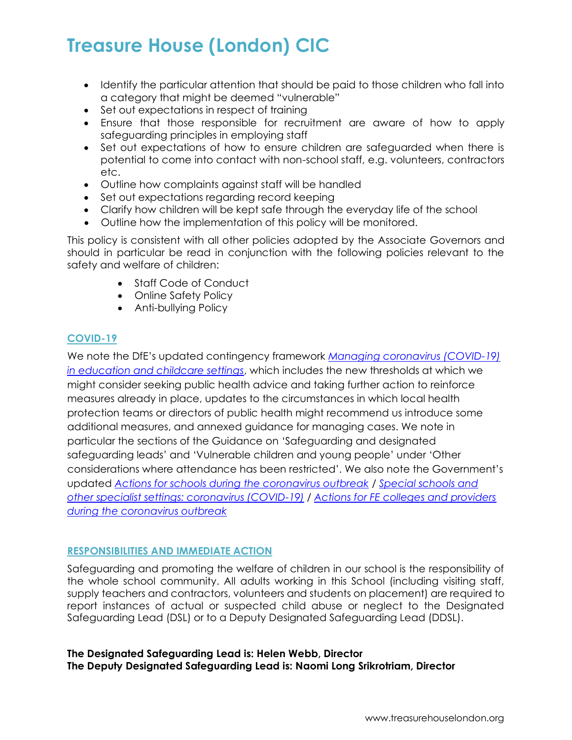- Identify the particular attention that should be paid to those children who fall into a category that might be deemed "vulnerable"
- Set out expectations in respect of training
- Ensure that those responsible for recruitment are aware of how to apply safeguarding principles in employing staff
- Set out expectations of how to ensure children are safeguarded when there is potential to come into contact with non-school staff, e.g. volunteers, contractors etc.
- Outline how complaints against staff will be handled
- Set out expectations regarding record keeping
- Clarify how children will be kept safe through the everyday life of the school
- Outline how the implementation of this policy will be monitored.

This policy is consistent with all other policies adopted by the Associate Governors and should in particular be read in conjunction with the following policies relevant to the safety and welfare of children:

- Staff Code of Conduct
- Online Safety Policy
- Anti-bullying Policy

## **COVID-19**

We note the DfE's updated contingency framework *[Managing coronavirus \(COVID-19\)](https://www.gov.uk/government/publications/coronavirus-covid-19-local-restrictions-in-education-and-childcare-settings?utm_medium=email&utm_campaign=govuk-notifications&utm_source=f75efe81-efb1-40ab-bae6-f57a074b6f05&utm_content=daily)  [in education and childcare settings](https://www.gov.uk/government/publications/coronavirus-covid-19-local-restrictions-in-education-and-childcare-settings?utm_medium=email&utm_campaign=govuk-notifications&utm_source=f75efe81-efb1-40ab-bae6-f57a074b6f05&utm_content=daily)*, which includes the new thresholds at which we might consider seeking public health advice and taking further action to reinforce measures already in place, updates to the circumstances in which local health protection teams or directors of public health might recommend us introduce some additional measures, and annexed guidance for managing cases. We note in particular the sections of the Guidance on 'Safeguarding and designated safeguarding leads' and 'Vulnerable children and young people' under 'Other considerations where attendance has been restricted'. We also note the Government's updated *[Actions for schools during the coronavirus outbreak](https://www.gov.uk/government/publications/actions-for-schools-during-the-coronavirus-outbreak?utm_medium=email&utm_campaign=govuk-notifications&utm_source=ae0d31a3-dbde-4cbf-91b2-2ed48dd33915&utm_content=daily)* / *[Special schools and](https://www.gov.uk/government/publications/guidance-for-full-opening-special-schools-and-other-specialist-settings?utm_medium=email&utm_campaign=govuk-notifications&utm_source=a148e1b8-46fe-4f72-9fc8-841c1ab9517f&utm_content=daily)  [other specialist settings: coronavirus \(COVID-19\)](https://www.gov.uk/government/publications/guidance-for-full-opening-special-schools-and-other-specialist-settings?utm_medium=email&utm_campaign=govuk-notifications&utm_source=a148e1b8-46fe-4f72-9fc8-841c1ab9517f&utm_content=daily)* / *[Actions for FE colleges and providers](https://www.gov.uk/government/publications/coronavirus-covid-19-maintaining-further-education-provision?utm_medium=email&utm_campaign=govuk-notifications&utm_source=c8133a1e-a455-4f65-9fdd-2a45e323bcd8&utm_content=daily)  [during the coronavirus outbreak](https://www.gov.uk/government/publications/coronavirus-covid-19-maintaining-further-education-provision?utm_medium=email&utm_campaign=govuk-notifications&utm_source=c8133a1e-a455-4f65-9fdd-2a45e323bcd8&utm_content=daily)*

### **RESPONSIBILITIES AND IMMEDIATE ACTION**

Safeguarding and promoting the welfare of children in our school is the responsibility of the whole school community. All adults working in this School (including visiting staff, supply teachers and contractors, volunteers and students on placement) are required to report instances of actual or suspected child abuse or neglect to the Designated Safeguarding Lead (DSL) or to a Deputy Designated Safeguarding Lead (DDSL).

## **The Designated Safeguarding Lead is: Helen Webb, Director The Deputy Designated Safeguarding Lead is: Naomi Long Srikrotriam, Director**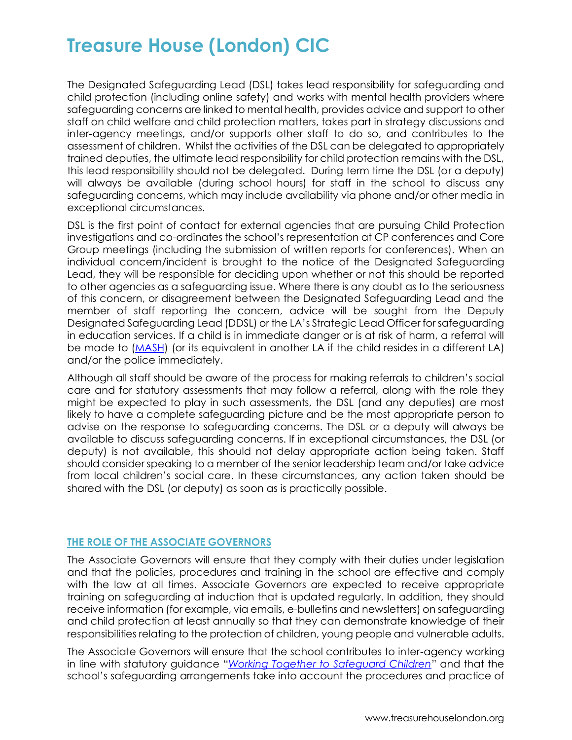The Designated Safeguarding Lead (DSL) takes lead responsibility for safeguarding and child protection (including online safety) and works with mental health providers where safeguarding concerns are linked to mental health, provides advice and support to other staff on child welfare and child protection matters, takes part in strategy discussions and inter-agency meetings, and/or supports other staff to do so, and contributes to the assessment of children. Whilst the activities of the DSL can be delegated to appropriately trained deputies, the ultimate lead responsibility for child protection remains with the DSL, this lead responsibility should not be delegated. During term time the DSL (or a deputy) will always be available (during school hours) for staff in the school to discuss any safeguarding concerns, which may include availability via phone and/or other media in exceptional circumstances.

DSL is the first point of contact for external agencies that are pursuing Child Protection investigations and co-ordinates the school's representation at CP conferences and Core Group meetings (including the submission of written reports for conferences). When an individual concern/incident is brought to the notice of the Designated Safeguarding Lead, they will be responsible for deciding upon whether or not this should be reported to other agencies as a safeguarding issue. Where there is any doubt as to the seriousness of this concern, or disagreement between the Designated Safeguarding Lead and the member of staff reporting the concern, advice will be sought from the Deputy Designated Safeguarding Lead (DDSL) or the LA's Strategic Lead Officer for safeguarding in education services. If a child is in immediate danger or is at risk of harm, a referral will be made to [\(MASH\)](http://www.southwark.gov.uk/childcare-and-parenting/child-protection/multi-agency-safeguarding-hub-mash) (or its equivalent in another LA if the child resides in a different LA) and/or the police immediately.

Although all staff should be aware of the process for making referrals to children's social care and for statutory assessments that may follow a referral, along with the role they might be expected to play in such assessments, the DSL (and any deputies) are most likely to have a complete safeguarding picture and be the most appropriate person to advise on the response to safeguarding concerns. The DSL or a deputy will always be available to discuss safeguarding concerns. If in exceptional circumstances, the DSL (or deputy) is not available, this should not delay appropriate action being taken. Staff should consider speaking to a member of the senior leadership team and/or take advice from local children's social care. In these circumstances, any action taken should be shared with the DSL (or deputy) as soon as is practically possible.

## **THE ROLE OF THE ASSOCIATE GOVERNORS**

The Associate Governors will ensure that they comply with their duties under legislation and that the policies, procedures and training in the school are effective and comply with the law at all times. Associate Governors are expected to receive appropriate training on safeguarding at induction that is updated regularly. In addition, they should receive information (for example, via emails, e-bulletins and newsletters) on safeguarding and child protection at least annually so that they can demonstrate knowledge of their responsibilities relating to the protection of children, young people and vulnerable adults.

The Associate Governors will ensure that the school contributes to inter-agency working in line with statutory guidance "*[Working Together to Safeguard Children](https://www.gov.uk/government/publications/working-together-to-safeguard-children--2)*" and that the school's safeguarding arrangements take into account the procedures and practice of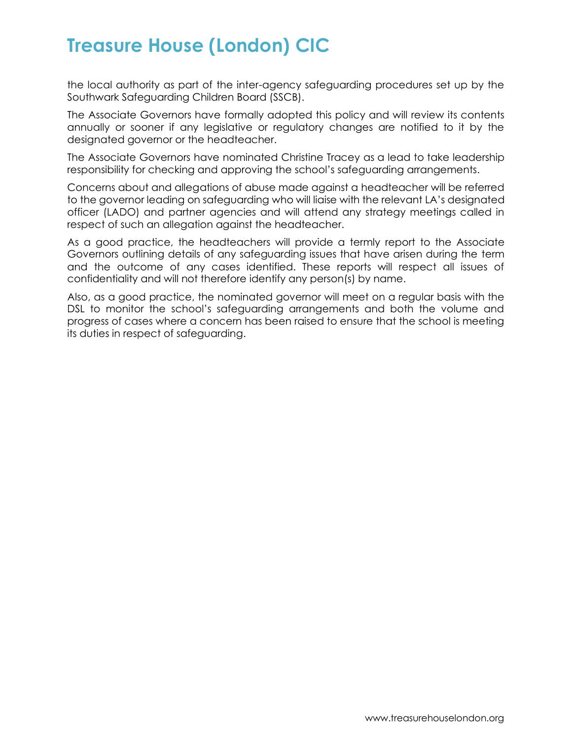the local authority as part of the inter-agency safeguarding procedures set up by the Southwark Safeguarding Children Board (SSCB).

The Associate Governors have formally adopted this policy and will review its contents annually or sooner if any legislative or regulatory changes are notified to it by the designated governor or the headteacher.

The Associate Governors have nominated Christine Tracey as a lead to take leadership responsibility for checking and approving the school's safeguarding arrangements.

Concerns about and allegations of abuse made against a headteacher will be referred to the governor leading on safeguarding who will liaise with the relevant LA's designated officer (LADO) and partner agencies and will attend any strategy meetings called in respect of such an allegation against the headteacher.

As a good practice, the headteachers will provide a termly report to the Associate Governors outlining details of any safeguarding issues that have arisen during the term and the outcome of any cases identified. These reports will respect all issues of confidentiality and will not therefore identify any person(s) by name.

Also, as a good practice, the nominated governor will meet on a regular basis with the DSL to monitor the school's safeguarding arrangements and both the volume and progress of cases where a concern has been raised to ensure that the school is meeting its duties in respect of safeguarding.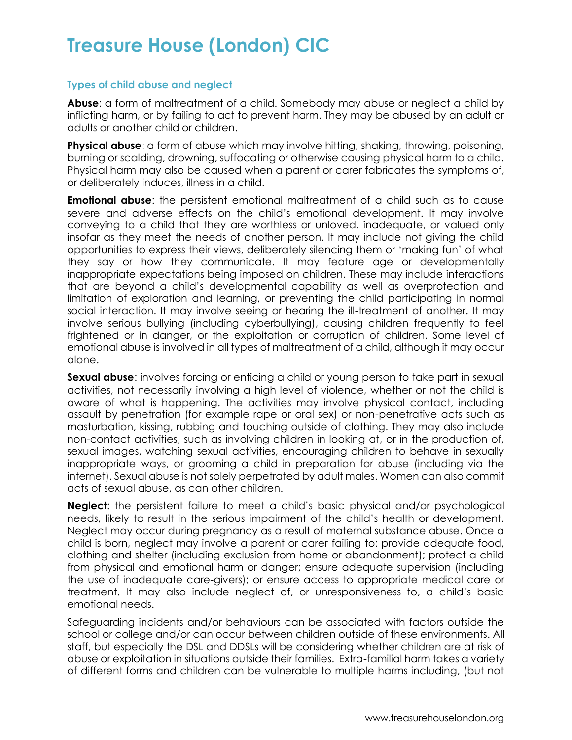## **Types of child abuse and neglect**

**Abuse**: a form of maltreatment of a child. Somebody may abuse or neglect a child by inflicting harm, or by failing to act to prevent harm. They may be abused by an adult or adults or another child or children.

**Physical abuse**: a form of abuse which may involve hitting, shaking, throwing, poisoning, burning or scalding, drowning, suffocating or otherwise causing physical harm to a child. Physical harm may also be caused when a parent or carer fabricates the symptoms of, or deliberately induces, illness in a child.

**Emotional abuse:** the persistent emotional maltreatment of a child such as to cause severe and adverse effects on the child's emotional development. It may involve conveying to a child that they are worthless or unloved, inadequate, or valued only insofar as they meet the needs of another person. It may include not giving the child opportunities to express their views, deliberately silencing them or 'making fun' of what they say or how they communicate. It may feature age or developmentally inappropriate expectations being imposed on children. These may include interactions that are beyond a child's developmental capability as well as overprotection and limitation of exploration and learning, or preventing the child participating in normal social interaction. It may involve seeing or hearing the ill-treatment of another. It may involve serious bullying (including cyberbullying), causing children frequently to feel frightened or in danger, or the exploitation or corruption of children. Some level of emotional abuse is involved in all types of maltreatment of a child, although it may occur alone.

**Sexual abuse**: involves forcing or enticing a child or young person to take part in sexual activities, not necessarily involving a high level of violence, whether or not the child is aware of what is happening. The activities may involve physical contact, including assault by penetration (for example rape or oral sex) or non-penetrative acts such as masturbation, kissing, rubbing and touching outside of clothing. They may also include non-contact activities, such as involving children in looking at, or in the production of, sexual images, watching sexual activities, encouraging children to behave in sexually inappropriate ways, or grooming a child in preparation for abuse (including via the internet). Sexual abuse is not solely perpetrated by adult males. Women can also commit acts of sexual abuse, as can other children.

**Neglect**: the persistent failure to meet a child's basic physical and/or psychological needs, likely to result in the serious impairment of the child's health or development. Neglect may occur during pregnancy as a result of maternal substance abuse. Once a child is born, neglect may involve a parent or carer failing to: provide adequate food, clothing and shelter (including exclusion from home or abandonment); protect a child from physical and emotional harm or danger; ensure adequate supervision (including the use of inadequate care-givers); or ensure access to appropriate medical care or treatment. It may also include neglect of, or unresponsiveness to, a child's basic emotional needs.

Safeguarding incidents and/or behaviours can be associated with factors outside the school or college and/or can occur between children outside of these environments. All staff, but especially the DSL and DDSLs will be considering whether children are at risk of abuse or exploitation in situations outside their families. Extra-familial harm takes a variety of different forms and children can be vulnerable to multiple harms including, (but not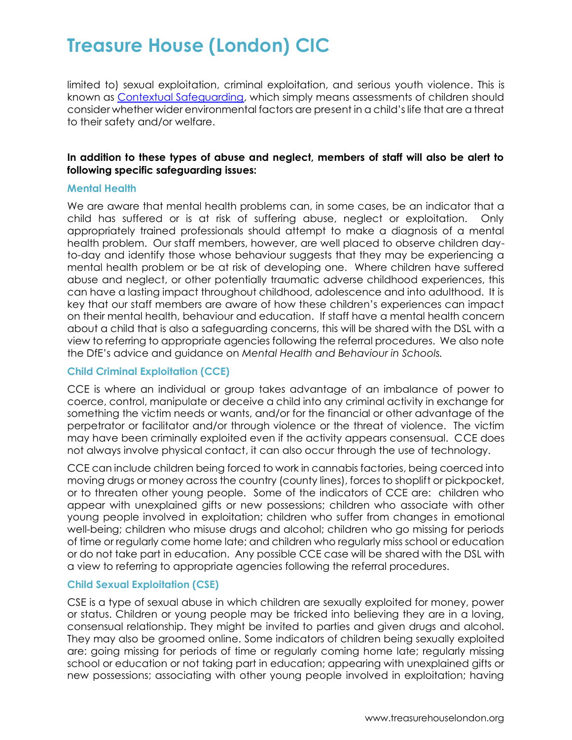limited to) sexual exploitation, criminal exploitation, and serious youth violence. This is known as [Contextual Safeguarding,](https://contextualsafeguarding.org.uk/about/what-is-contextual-safeguarding) which simply means assessments of children should consider whether wider environmental factors are present in a child's life that are a threat to their safety and/or welfare.

## **In addition to these types of abuse and neglect, members of staff will also be alert to following specific safeguarding issues:**

#### **Mental Health**

We are aware that mental health problems can, in some cases, be an indicator that a child has suffered or is at risk of suffering abuse, neglect or exploitation. Only appropriately trained professionals should attempt to make a diagnosis of a mental health problem. Our staff members, however, are well placed to observe children dayto-day and identify those whose behaviour suggests that they may be experiencing a mental health problem or be at risk of developing one. Where children have suffered abuse and neglect, or other potentially traumatic adverse childhood experiences, this can have a lasting impact throughout childhood, adolescence and into adulthood. It is key that our staff members are aware of how these children's experiences can impact on their mental health, behaviour and education. If staff have a mental health concern about a child that is also a safeguarding concerns, this will be shared with the DSL with a view to referring to appropriate agencies following the referral procedures. We also note the DfE's advice and guidance on *Mental Health and Behaviour in Schools.*

### **Child Criminal Exploitation (CCE)**

CCE is where an individual or group takes advantage of an imbalance of power to coerce, control, manipulate or deceive a child into any criminal activity in exchange for something the victim needs or wants, and/or for the financial or other advantage of the perpetrator or facilitator and/or through violence or the threat of violence. The victim may have been criminally exploited even if the activity appears consensual. CCE does not always involve physical contact, it can also occur through the use of technology.

CCE can include children being forced to work in cannabis factories, being coerced into moving drugs or money across the country (county lines), forces to shoplift or pickpocket, or to threaten other young people. Some of the indicators of CCE are: children who appear with unexplained gifts or new possessions; children who associate with other young people involved in exploitation; children who suffer from changes in emotional well-being; children who misuse drugs and alcohol; children who go missing for periods of time or regularly come home late; and children who regularly miss school or education or do not take part in education. Any possible CCE case will be shared with the DSL with a view to referring to appropriate agencies following the referral procedures.

### **Child Sexual Exploitation (CSE)**

CSE is a type of sexual abuse in which children are sexually exploited for money, power or status. Children or young people may be tricked into believing they are in a loving, consensual relationship. They might be invited to parties and given drugs and alcohol. They may also be groomed online. Some indicators of children being sexually exploited are: going missing for periods of time or regularly coming home late; regularly missing school or education or not taking part in education; appearing with unexplained gifts or new possessions; associating with other young people involved in exploitation; having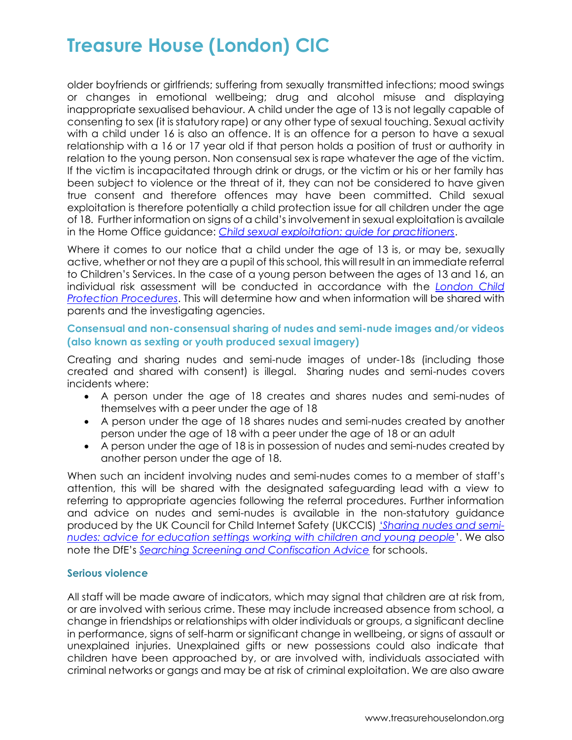older boyfriends or girlfriends; suffering from sexually transmitted infections; mood swings or changes in emotional wellbeing; drug and alcohol misuse and displaying inappropriate sexualised behaviour. A child under the age of 13 is not legally capable of consenting to sex (it is statutory rape) or any other type of sexual touching. Sexual activity with a child under 16 is also an offence. It is an offence for a person to have a sexual relationship with a 16 or 17 year old if that person holds a position of trust or authority in relation to the young person. Non consensual sex is rape whatever the age of the victim. If the victim is incapacitated through drink or drugs, or the victim or his or her family has been subject to violence or the threat of it, they can not be considered to have given true consent and therefore offences may have been committed. Child sexual exploitation is therefore potentially a child protection issue for all children under the age of 18. Further information on signs of a child's involvement in sexual exploitation is availale in the Home Office guidance: *[Child sexual exploitation: guide for practitioners](https://www.gov.uk/government/publications/child-sexual-exploitation-definition-and-guide-for-practitioners)*.

Where it comes to our notice that a child under the age of 13 is, or may be, sexually active, whether or not they are a pupil of this school, this will result in an immediate referral to Children's Services. In the case of a young person between the ages of 13 and 16, an individual risk assessment will be conducted in accordance with the *[London Child](http://www.londoncp.co.uk/index.html)  [Protection Procedures](http://www.londoncp.co.uk/index.html)*. This will determine how and when information will be shared with parents and the investigating agencies.

## **Consensual and non-consensual sharing of nudes and semi-nude images and/or videos (also known as sexting or youth produced sexual imagery)**

Creating and sharing nudes and semi-nude images of under-18s (including those created and shared with consent) is illegal. Sharing nudes and semi-nudes covers incidents where:

- A person under the age of 18 creates and shares nudes and semi-nudes of themselves with a peer under the age of 18
- A person under the age of 18 shares nudes and semi-nudes created by another person under the age of 18 with a peer under the age of 18 or an adult
- A person under the age of 18 is in possession of nudes and semi-nudes created by another person under the age of 18.

When such an incident involving nudes and semi-nudes comes to a member of staff's attention, this will be shared with the designated safeguarding lead with a view to referring to appropriate agencies following the referral procedures. Further information and advice on nudes and semi-nudes is available in the non-statutory guidance produced by the UK Council for Child Internet Safety (UKCCIS) '*[Sharing nudes and semi](https://www.gov.uk/government/uploads/system/uploads/attachment_data/file/609874/6_2939_SP_NCA_Sexting_In_Schools_FINAL_Update_Jan17.pdf)[nudes: advice for education settings working with children and young people](https://www.gov.uk/government/uploads/system/uploads/attachment_data/file/609874/6_2939_SP_NCA_Sexting_In_Schools_FINAL_Update_Jan17.pdf)*'. We also note the DfE's *[Searching Screening and Confiscation Advice](https://www.gov.uk/government/publications/searching-screening-and-confiscation)* for schools.

### **Serious violence**

All staff will be made aware of indicators, which may signal that children are at risk from, or are involved with serious crime. These may include increased absence from school, a change in friendships or relationships with older individuals or groups, a significant decline in performance, signs of self-harm or significant change in wellbeing, or signs of assault or unexplained injuries. Unexplained gifts or new possessions could also indicate that children have been approached by, or are involved with, individuals associated with criminal networks or gangs and may be at risk of criminal exploitation. We are also aware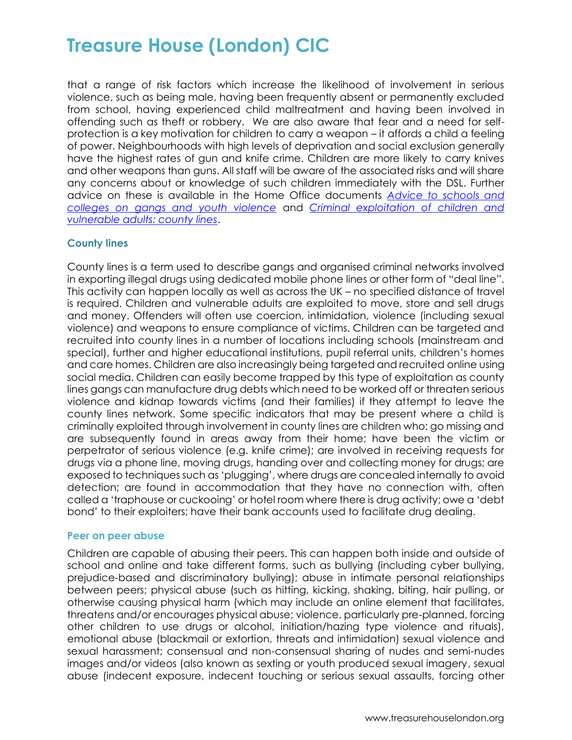that a range of risk factors which increase the likelihood of involvement in serious violence, such as being male, having been frequently absent or permanently excluded from school, having experienced child maltreatment and having been involved in offending such as theft or robbery. We are also aware that fear and a need for selfprotection is a key motivation for children to carry a weapon – it affords a child a feeling of power. Neighbourhoods with high levels of deprivation and social exclusion generally have the highest rates of gun and knife crime. Children are more likely to carry knives and other weapons than guns. All staff will be aware of the associated risks and will share any concerns about or knowledge of such children immediately with the DSL. Further advice on these is available in the Home Office documents *[Advice to schools and](https://www.gov.uk/government/publications/advice-to-schools-and-colleges-on-gangs-and-youth-violence)  [colleges on gangs and youth violence](https://www.gov.uk/government/publications/advice-to-schools-and-colleges-on-gangs-and-youth-violence)* and *[Criminal exploitation of children and](https://www.gov.uk/government/publications/criminal-exploitation-of-children-and-vulnerable-adults-county-lines)  [vulnerable adults: county lines](https://www.gov.uk/government/publications/criminal-exploitation-of-children-and-vulnerable-adults-county-lines)*.

### **County lines**

County lines is a term used to describe gangs and organised criminal networks involved in exporting illegal drugs using dedicated mobile phone lines or other form of "deal line". This activity can happen locally as well as across the UK – no specified distance of travel is required. Children and vulnerable adults are exploited to move, store and sell drugs and money. Offenders will often use coercion, intimidation, violence (including sexual violence) and weapons to ensure compliance of victims. Children can be targeted and recruited into county lines in a number of locations including schools (mainstream and special), further and higher educational institutions, pupil referral units, children's homes and care homes. Children are also increasingly being targeted and recruited online using social media. Children can easily become trapped by this type of exploitation as county lines gangs can manufacture drug debts which need to be worked off or threaten serious violence and kidnap towards victims (and their families) if they attempt to leave the county lines network. Some specific indicators that may be present where a child is criminally exploited through involvement in county lines are children who: go missing and are subsequently found in areas away from their home; have been the victim or perpetrator of serious violence (e.g. knife crime); are involved in receiving requests for drugs via a phone line, moving drugs, handing over and collecting money for drugs; are exposed to techniques such as 'plugging', where drugs are concealed internally to avoid detection; are found in accommodation that they have no connection with, often called a 'traphouse or cuckooing' or hotel room where there is drug activity; owe a 'debt bond' to their exploiters; have their bank accounts used to facilitate drug dealing.

#### **Peer on peer abuse**

Children are capable of abusing their peers. This can happen both inside and outside of school and online and take different forms, such as bullying (including cyber bullying, prejudice-based and discriminatory bullying); abuse in intimate personal relationships between peers; physical abuse (such as hitting, kicking, shaking, biting, hair pulling, or otherwise causing physical harm (which may include an online element that facilitates, threatens and/or encourages physical abuse; violence, particularly pre-planned, forcing other children to use drugs or alcohol, initiation/hazing type violence and rituals), emotional abuse (blackmail or extortion, threats and intimidation) sexual violence and sexual harassment; consensual and non-consensual sharing of nudes and semi-nudes images and/or videos (also known as sexting or youth produced sexual imagery, sexual abuse (indecent exposure, indecent touching or serious sexual assaults, forcing other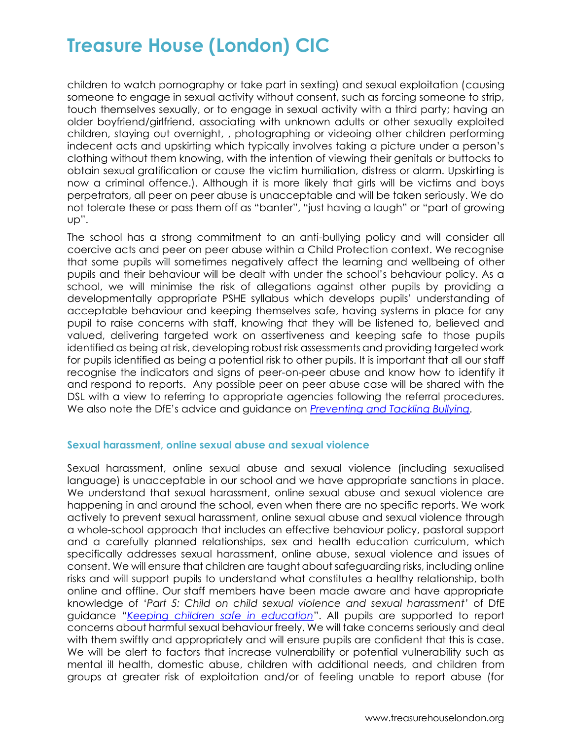children to watch pornography or take part in sexting) and sexual exploitation (causing someone to engage in sexual activity without consent, such as forcing someone to strip, touch themselves sexually, or to engage in sexual activity with a third party; having an older boyfriend/girlfriend, associating with unknown adults or other sexually exploited children, staying out overnight, , photographing or videoing other children performing indecent acts and upskirting which typically involves taking a picture under a person's clothing without them knowing, with the intention of viewing their genitals or buttocks to obtain sexual gratification or cause the victim humiliation, distress or alarm. Upskirting is now a criminal offence.). Although it is more likely that girls will be victims and boys perpetrators, all peer on peer abuse is unacceptable and will be taken seriously. We do not tolerate these or pass them off as "banter", "just having a laugh" or "part of growing up".

The school has a strong commitment to an anti-bullying policy and will consider all coercive acts and peer on peer abuse within a Child Protection context. We recognise that some pupils will sometimes negatively affect the learning and wellbeing of other pupils and their behaviour will be dealt with under the school's behaviour policy. As a school, we will minimise the risk of allegations against other pupils by providing a developmentally appropriate PSHE syllabus which develops pupils' understanding of acceptable behaviour and keeping themselves safe, having systems in place for any pupil to raise concerns with staff, knowing that they will be listened to, believed and valued, delivering targeted work on assertiveness and keeping safe to those pupils identified as being at risk, developing robust risk assessments and providing targeted work for pupils identified as being a potential risk to other pupils. It is important that all our staff recognise the indicators and signs of peer-on-peer abuse and know how to identify it and respond to reports. Any possible peer on peer abuse case will be shared with the DSL with a view to referring to appropriate agencies following the referral procedures. We also note the DfE's advice and guidance on *[Preventing and Tackling Bullying.](https://www.gov.uk/government/publications/preventing-and-tackling-bullying)*

### **Sexual harassment, online sexual abuse and sexual violence**

Sexual harassment, online sexual abuse and sexual violence (including sexualised language) is unacceptable in our school and we have appropriate sanctions in place. We understand that sexual harassment, online sexual abuse and sexual violence are happening in and around the school, even when there are no specific reports. We work actively to prevent sexual harassment, online sexual abuse and sexual violence through a whole-school approach that includes an effective behaviour policy, pastoral support and a carefully planned relationships, sex and health education curriculum, which specifically addresses sexual harassment, online abuse, sexual violence and issues of consent. We will ensure that children are taught about safeguarding risks, including online risks and will support pupils to understand what constitutes a healthy relationship, both online and offline. Our staff members have been made aware and have appropriate knowledge of '*Part 5: Child on child sexual violence and sexual harassment*' of DfE guidance "*[Keeping children safe in education](https://www.gov.uk/government/publications/keeping-children-safe-in-education--2)*". All pupils are supported to report concerns about harmful sexual behaviour freely. We will take concerns seriously and deal with them swiftly and appropriately and will ensure pupils are confident that this is case. We will be alert to factors that increase vulnerability or potential vulnerability such as mental ill health, domestic abuse, children with additional needs, and children from groups at greater risk of exploitation and/or of feeling unable to report abuse (for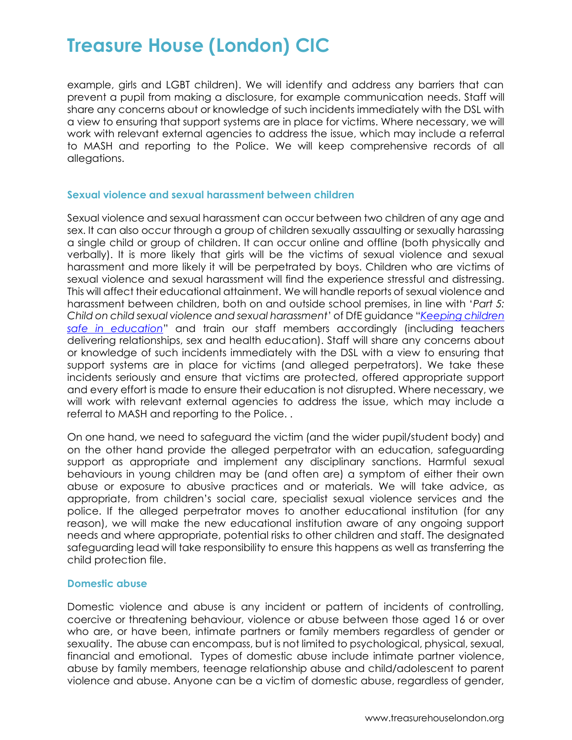example, girls and LGBT children). We will identify and address any barriers that can prevent a pupil from making a disclosure, for example communication needs. Staff will share any concerns about or knowledge of such incidents immediately with the DSL with a view to ensuring that support systems are in place for victims. Where necessary, we will work with relevant external agencies to address the issue, which may include a referral to MASH and reporting to the Police. We will keep comprehensive records of all allegations.

### **Sexual violence and sexual harassment between children**

Sexual violence and sexual harassment can occur between two children of any age and sex. It can also occur through a group of children sexually assaulting or sexually harassing a single child or group of children. It can occur online and offline (both physically and verbally). It is more likely that girls will be the victims of sexual violence and sexual harassment and more likely it will be perpetrated by boys. Children who are victims of sexual violence and sexual harassment will find the experience stressful and distressing. This will affect their educational attainment. We will handle reports of sexual violence and harassment between children, both on and outside school premises, in line with '*Part 5: Child on child sexual violence and sexual harassment*' of DfE guidance "*[Keeping children](https://www.gov.uk/government/publications/keeping-children-safe-in-education--2)  [safe in education](https://www.gov.uk/government/publications/keeping-children-safe-in-education--2)*" and train our staff members accordingly (including teachers delivering relationships, sex and health education). Staff will share any concerns about or knowledge of such incidents immediately with the DSL with a view to ensuring that support systems are in place for victims (and alleged perpetrators). We take these incidents seriously and ensure that victims are protected, offered appropriate support and every effort is made to ensure their education is not disrupted. Where necessary, we will work with relevant external agencies to address the issue, which may include a referral to MASH and reporting to the Police. .

On one hand, we need to safeguard the victim (and the wider pupil/student body) and on the other hand provide the alleged perpetrator with an education, safeguarding support as appropriate and implement any disciplinary sanctions. Harmful sexual behaviours in young children may be (and often are) a symptom of either their own abuse or exposure to abusive practices and or materials. We will take advice, as appropriate, from children's social care, specialist sexual violence services and the police. If the alleged perpetrator moves to another educational institution (for any reason), we will make the new educational institution aware of any ongoing support needs and where appropriate, potential risks to other children and staff. The designated safeguarding lead will take responsibility to ensure this happens as well as transferring the child protection file.

### **Domestic abuse**

Domestic violence and abuse is any incident or pattern of incidents of controlling, coercive or threatening behaviour, violence or abuse between those aged 16 or over who are, or have been, intimate partners or family members regardless of gender or sexuality. The abuse can encompass, but is not limited to psychological, physical, sexual, financial and emotional. Types of domestic abuse include intimate partner violence, abuse by family members, teenage relationship abuse and child/adolescent to parent violence and abuse. Anyone can be a victim of domestic abuse, regardless of gender,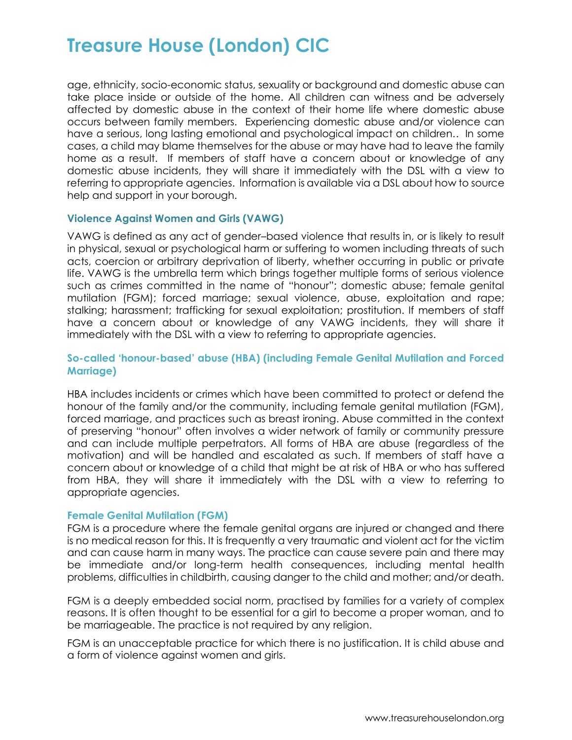age, ethnicity, socio-economic status, sexuality or background and domestic abuse can take place inside or outside of the home. All children can witness and be adversely affected by domestic abuse in the context of their home life where domestic abuse occurs between family members. Experiencing domestic abuse and/or violence can have a serious, long lasting emotional and psychological impact on children.. In some cases, a child may blame themselves for the abuse or may have had to leave the family home as a result. If members of staff have a concern about or knowledge of any domestic abuse incidents, they will share it immediately with the DSL with a view to referring to appropriate agencies. Information is available via a DSL about how to source help and support in your borough.

### **Violence Against Women and Girls (VAWG)**

VAWG is defined as any act of gender–based violence that results in, or is likely to result in physical, sexual or psychological harm or suffering to women including threats of such acts, coercion or arbitrary deprivation of liberty, whether occurring in public or private life. VAWG is the umbrella term which brings together multiple forms of serious violence such as crimes committed in the name of "honour"; domestic abuse; female genital mutilation (FGM); forced marriage; sexual violence, abuse, exploitation and rape; stalking; harassment; trafficking for sexual exploitation; prostitution. If members of staff have a concern about or knowledge of any VAWG incidents, they will share it immediately with the DSL with a view to referring to appropriate agencies.

## **So-called 'honour-based' abuse (HBA) (including Female Genital Mutilation and Forced Marriage)**

HBA includes incidents or crimes which have been committed to protect or defend the honour of the family and/or the community, including female genital mutilation (FGM), forced marriage, and practices such as breast ironing. Abuse committed in the context of preserving "honour" often involves a wider network of family or community pressure and can include multiple perpetrators. All forms of HBA are abuse (regardless of the motivation) and will be handled and escalated as such. If members of staff have a concern about or knowledge of a child that might be at risk of HBA or who has suffered from HBA, they will share it immediately with the DSL with a view to referring to appropriate agencies.

#### **Female Genital Mutilation (FGM)**

FGM is a procedure where the female genital organs are injured or changed and there is no medical reason for this. It is frequently a very traumatic and violent act for the victim and can cause harm in many ways. The practice can cause severe pain and there may be immediate and/or long-term health consequences, including mental health problems, difficulties in childbirth, causing danger to the child and mother; and/or death.

FGM is a deeply embedded social norm, practised by families for a variety of complex reasons. It is often thought to be essential for a girl to become a proper woman, and to be marriageable. The practice is not required by any religion.

FGM is an unacceptable practice for which there is no justification. It is child abuse and a form of violence against women and girls.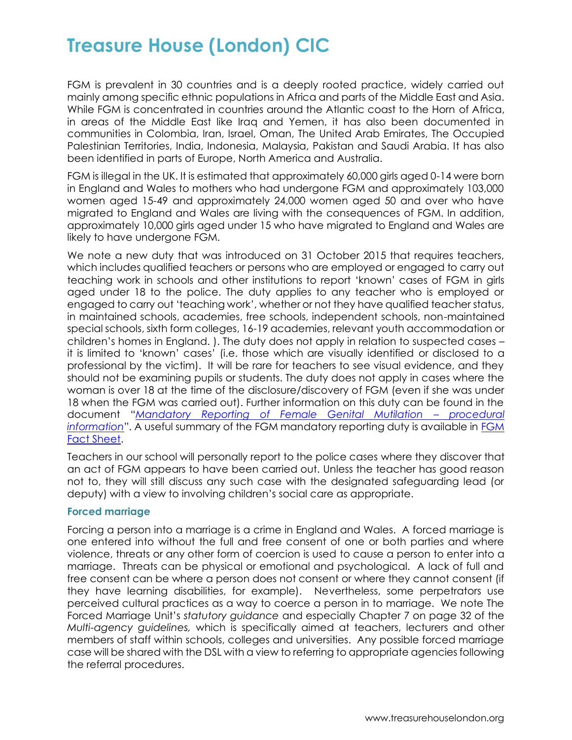FGM is prevalent in 30 countries and is a deeply rooted practice, widely carried out mainly among specific ethnic populations in Africa and parts of the Middle East and Asia. While FGM is concentrated in countries around the Atlantic coast to the Horn of Africa, in areas of the Middle East like Iraq and Yemen, it has also been documented in communities in Colombia, Iran, Israel, Oman, The United Arab Emirates, The Occupied Palestinian Territories, India, Indonesia, Malaysia, Pakistan and Saudi Arabia. It has also been identified in parts of Europe, North America and Australia.

FGM is illegal in the UK. It is estimated that approximately 60,000 girls aged 0-14 were born in England and Wales to mothers who had undergone FGM and approximately 103,000 women aged 15-49 and approximately 24,000 women aged 50 and over who have migrated to England and Wales are living with the consequences of FGM. In addition, approximately 10,000 girls aged under 15 who have migrated to England and Wales are likely to have undergone FGM.

We note a new duty that was introduced on 31 October 2015 that requires teachers, which includes qualified teachers or persons who are employed or engaged to carry out teaching work in schools and other institutions to report 'known' cases of FGM in girls aged under 18 to the police. The duty applies to any teacher who is employed or engaged to carry out 'teaching work', whether or not they have qualified teacher status, in maintained schools, academies, free schools, independent schools, non-maintained special schools, sixth form colleges, 16-19 academies, relevant youth accommodation or children's homes in England. ). The duty does not apply in relation to suspected cases – it is limited to 'known' cases' (i.e. those which are visually identified or disclosed to a professional by the victim). It will be rare for teachers to see visual evidence, and they should not be examining pupils or students. The duty does not apply in cases where the woman is over 18 at the time of the disclosure/discovery of FGM (even if she was under 18 when the FGM was carried out). Further information on this duty can be found in the document "*[Mandatory Reporting of Female Genital Mutilation](https://www.gov.uk/government/publications/mandatory-reporting-of-female-genital-mutilation-procedural-information) – procedural [information](https://www.gov.uk/government/publications/mandatory-reporting-of-female-genital-mutilation-procedural-information)*". A useful summary of the FGM mandatory reporting duty is available in [FGM](https://assets.publishing.service.gov.uk/government/uploads/system/uploads/attachment_data/file/496415/6_1639_HO_SP_FGM_mandatory_reporting_Fact_sheet_Web.pdf)  [Fact Sheet.](https://assets.publishing.service.gov.uk/government/uploads/system/uploads/attachment_data/file/496415/6_1639_HO_SP_FGM_mandatory_reporting_Fact_sheet_Web.pdf)

Teachers in our school will personally report to the police cases where they discover that an act of FGM appears to have been carried out. Unless the teacher has good reason not to, they will still discuss any such case with the designated safeguarding lead (or deputy) with a view to involving children's social care as appropriate.

### **Forced marriage**

Forcing a person into a marriage is a crime in England and Wales. A forced marriage is one entered into without the full and free consent of one or both parties and where violence, threats or any other form of coercion is used to cause a person to enter into a marriage. Threats can be physical or emotional and psychological. A lack of full and free consent can be where a person does not consent or where they cannot consent (if they have learning disabilities, for example). Nevertheless, some perpetrators use perceived cultural practices as a way to coerce a person in to marriage. We note The Forced Marriage Unit's *statutory guidance* and especially Chapter 7 on page 32 of the *Multi-agency guidelines,* which is specifically aimed at teachers, lecturers and other members of staff within schools, colleges and universities. Any possible forced marriage case will be shared with the DSL with a view to referring to appropriate agencies following the referral procedures.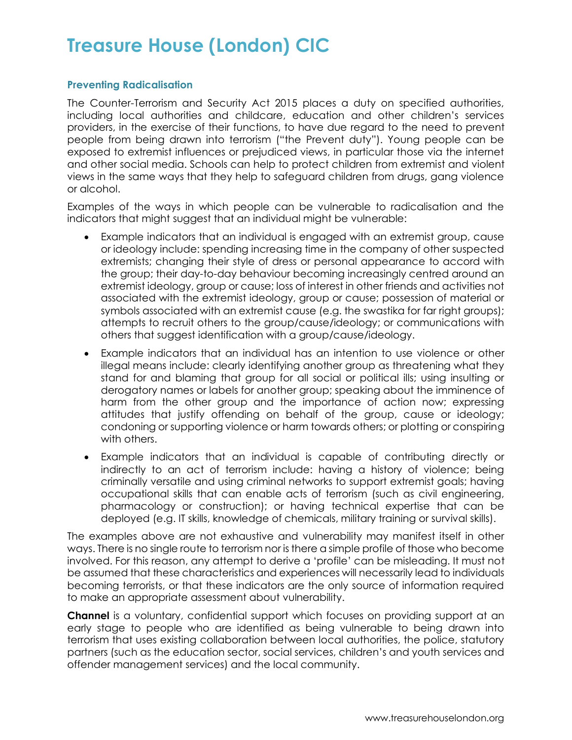## **Preventing Radicalisation**

The Counter-Terrorism and Security Act 2015 places a duty on specified authorities, including local authorities and childcare, education and other children's services providers, in the exercise of their functions, to have due regard to the need to prevent people from being drawn into terrorism ("the Prevent duty"). Young people can be exposed to extremist influences or prejudiced views, in particular those via the internet and other social media. Schools can help to protect children from extremist and violent views in the same ways that they help to safeguard children from drugs, gang violence or alcohol.

Examples of the ways in which people can be vulnerable to radicalisation and the indicators that might suggest that an individual might be vulnerable:

- Example indicators that an individual is engaged with an extremist group, cause or ideology include: spending increasing time in the company of other suspected extremists; changing their style of dress or personal appearance to accord with the group; their day-to-day behaviour becoming increasingly centred around an extremist ideology, group or cause; loss of interest in other friends and activities not associated with the extremist ideology, group or cause; possession of material or symbols associated with an extremist cause (e.g. the swastika for far right groups); attempts to recruit others to the group/cause/ideology; or communications with others that suggest identification with a group/cause/ideology.
- Example indicators that an individual has an intention to use violence or other illegal means include: clearly identifying another group as threatening what they stand for and blaming that group for all social or political ills; using insulting or derogatory names or labels for another group; speaking about the imminence of harm from the other group and the importance of action now; expressing attitudes that justify offending on behalf of the group, cause or ideology; condoning or supporting violence or harm towards others; or plotting or conspiring with others.
- Example indicators that an individual is capable of contributing directly or indirectly to an act of terrorism include: having a history of violence; being criminally versatile and using criminal networks to support extremist goals; having occupational skills that can enable acts of terrorism (such as civil engineering, pharmacology or construction); or having technical expertise that can be deployed (e.g. IT skills, knowledge of chemicals, military training or survival skills).

The examples above are not exhaustive and vulnerability may manifest itself in other ways. There is no single route to terrorism nor is there a simple profile of those who become involved. For this reason, any attempt to derive a 'profile' can be misleading. It must not be assumed that these characteristics and experiences will necessarily lead to individuals becoming terrorists, or that these indicators are the only source of information required to make an appropriate assessment about vulnerability.

**Channel** is a voluntary, confidential support which focuses on providing support at an early stage to people who are identified as being vulnerable to being drawn into terrorism that uses existing collaboration between local authorities, the police, statutory partners (such as the education sector, social services, children's and youth services and offender management services) and the local community.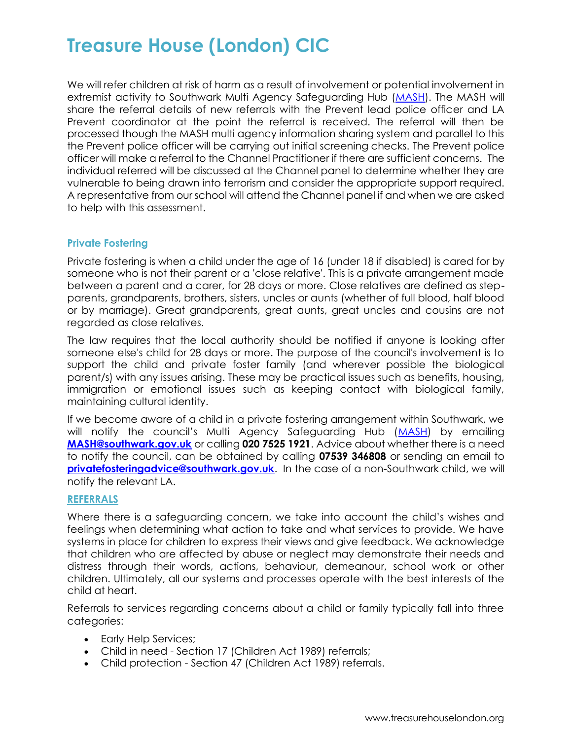We will refer children at risk of harm as a result of involvement or potential involvement in extremist activity to Southwark Multi Agency Safeguarding Hub [\(MASH\)](http://www.southwark.gov.uk/childcare-and-parenting/child-protection/multi-agency-safeguarding-hub-mash). The MASH will share the referral details of new referrals with the Prevent lead police officer and LA Prevent coordinator at the point the referral is received. The referral will then be processed though the MASH multi agency information sharing system and parallel to this the Prevent police officer will be carrying out initial screening checks. The Prevent police officer will make a referral to the Channel Practitioner if there are sufficient concerns. The individual referred will be discussed at the Channel panel to determine whether they are vulnerable to being drawn into terrorism and consider the appropriate support required. A representative from our school will attend the Channel panel if and when we are asked to help with this assessment.

### **Private Fostering**

Private fostering is when a child under the age of 16 (under 18 if disabled) is cared for by someone who is not their parent or a 'close relative'. This is a private arrangement made between a parent and a carer, for 28 days or more. Close relatives are defined as stepparents, grandparents, brothers, sisters, uncles or aunts (whether of full blood, half blood or by marriage). Great grandparents, great aunts, great uncles and cousins are not regarded as close relatives.

The law requires that the local authority should be notified if anyone is looking after someone else's child for 28 days or more. The purpose of the council's involvement is to support the child and private foster family (and wherever possible the biological parent/s) with any issues arising. These may be practical issues such as benefits, housing, immigration or emotional issues such as keeping contact with biological family, maintaining cultural identity.

If we become aware of a child in a private fostering arrangement within Southwark, we will notify the council's Multi Agency Safeguarding Hub ([MASH\)](http://www.southwark.gov.uk/childcare-and-parenting/child-protection/multi-agency-safeguarding-hub-mash) by emailing **[MASH@southwark.gov.uk](mailto:MASH@southwark.gov.uk)** or calling **020 7525 1921**. Advice about whether there is a need to notify the council, can be obtained by calling **07539 346808** or sending an email to **[privatefosteringadvice@southwark.gov.uk](mailto:privatefosteringadvice@southwark.gov.uk).** In the case of a non-Southwark child, we will notify the relevant LA.

#### **REFERRALS**

Where there is a safeguarding concern, we take into account the child's wishes and feelings when determining what action to take and what services to provide. We have systems in place for children to express their views and give feedback. We acknowledge that children who are affected by abuse or neglect may demonstrate their needs and distress through their words, actions, behaviour, demeanour, school work or other children. Ultimately, all our systems and processes operate with the best interests of the child at heart.

Referrals to services regarding concerns about a child or family typically fall into three categories:

- Early Help Services;
- Child in need Section 17 (Children Act 1989) referrals;
- Child protection Section 47 (Children Act 1989) referrals.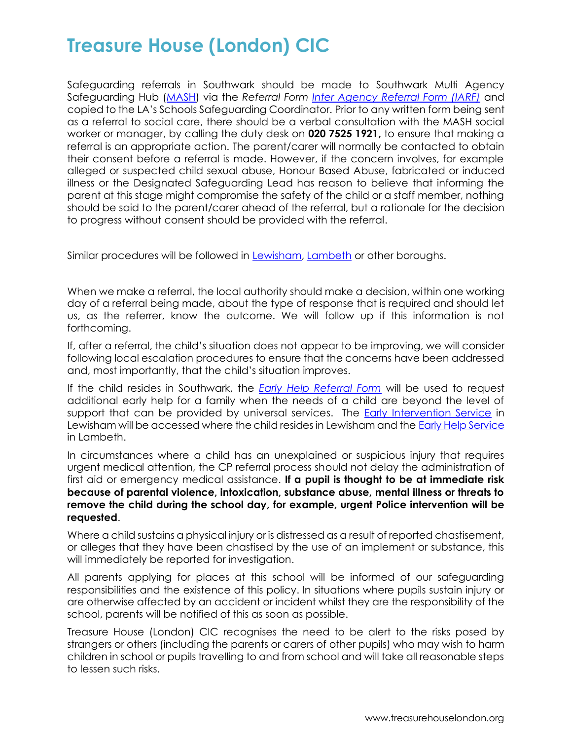Safeguarding referrals in Southwark should be made to Southwark Multi Agency Safeguarding Hub [\(MASH\)](http://www.southwark.gov.uk/childcare-and-parenting/child-protection/multi-agency-safeguarding-hub-mash) via the *Referral Form [Inter Agency Referral Form \(IARF\)](http://schools.southwark.gov.uk/assets/attach/3541/MASH%20Inter%20Agency%20Referral%20Form%20Version%201.dotx)* and copied to the LA's Schools Safeguarding Coordinator. Prior to any written form being sent as a referral to social care, there should be a verbal consultation with the MASH social worker or manager, by calling the duty desk on **020 7525 1921,** to ensure that making a referral is an appropriate action. The parent/carer will normally be contacted to obtain their consent before a referral is made. However, if the concern involves, for example alleged or suspected child sexual abuse, Honour Based Abuse, fabricated or induced illness or the Designated Safeguarding Lead has reason to believe that informing the parent at this stage might compromise the safety of the child or a staff member, nothing should be said to the parent/carer ahead of the referral, but a rationale for the decision to progress without consent should be provided with the referral.

Similar procedures will be followed in [Lewisham,](https://lewisham.gov.uk/myservices/socialcare/children/keeping-children-safe/Pages/Reporting-child-abuse.aspx) [Lambeth](https://www.lambethscb.org.uk/sites/default/files/2017-07/Changes%20to%20safeguarding%20and%20Early%20Help%20referrals%20from%2001-08-2017.pdf) or other boroughs.

When we make a referral, the local authority should make a decision, within one working day of a referral being made, about the type of response that is required and should let us, as the referrer, know the outcome. We will follow up if this information is not forthcoming.

If, after a referral, the child's situation does not appear to be improving, we will consider following local escalation procedures to ensure that the concerns have been addressed and, most importantly, that the child's situation improves.

If the child resides in Southwark, the *[Early Help Referral Form](http://schools.southwark.gov.uk/assets/attach/3835/Early%20Help%20Referral%20Form.docx)* will be used to request additional early help for a family when the needs of a child are beyond the level of support that can be provided by universal services. The [Early Intervention Service](https://www.lewisham.gov.uk/myservices/socialcare/children/eis/Pages/default.aspx) in Lewisham will be accessed where the child resides in Lewisham and th[e Early Help Service](https://www.lambeth.gov.uk/children-young-people-and-families/parenting-and-family-support/access-support-for-your-family) in Lambeth.

In circumstances where a child has an unexplained or suspicious injury that requires urgent medical attention, the CP referral process should not delay the administration of first aid or emergency medical assistance. **If a pupil is thought to be at immediate risk because of parental violence, intoxication, substance abuse, mental illness or threats to remove the child during the school day, for example, urgent Police intervention will be requested**.

Where a child sustains a physical injury or is distressed as a result of reported chastisement, or alleges that they have been chastised by the use of an implement or substance, this will immediately be reported for investigation.

All parents applying for places at this school will be informed of our safeguarding responsibilities and the existence of this policy. In situations where pupils sustain injury or are otherwise affected by an accident or incident whilst they are the responsibility of the school, parents will be notified of this as soon as possible.

Treasure House (London) CIC recognises the need to be alert to the risks posed by strangers or others (including the parents or carers of other pupils) who may wish to harm children in school or pupils travelling to and from school and will take all reasonable steps to lessen such risks.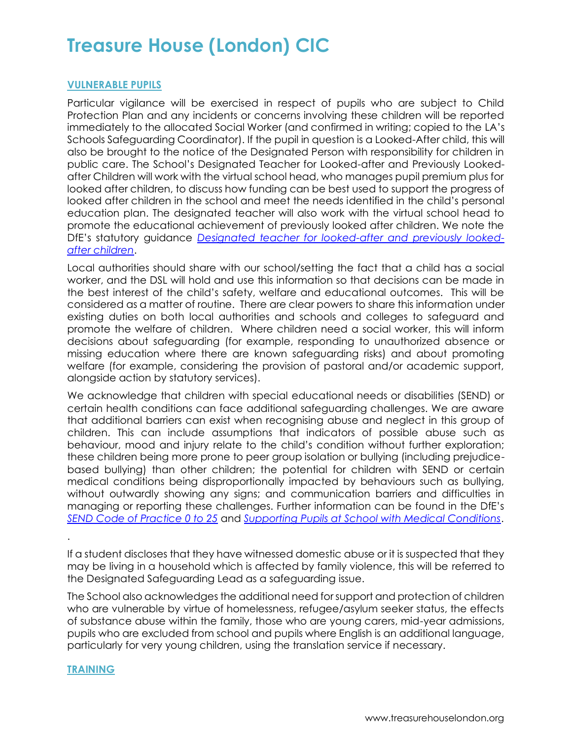### **VULNERABLE PUPILS**

Particular vigilance will be exercised in respect of pupils who are subject to Child Protection Plan and any incidents or concerns involving these children will be reported immediately to the allocated Social Worker (and confirmed in writing; copied to the LA's Schools Safeguarding Coordinator). If the pupil in question is a Looked-After child, this will also be brought to the notice of the Designated Person with responsibility for children in public care. The School's Designated Teacher for Looked-after and Previously Lookedafter Children will work with the virtual school head, who manages pupil premium plus for looked after children, to discuss how funding can be best used to support the progress of looked after children in the school and meet the needs identified in the child's personal education plan. The designated teacher will also work with the virtual school head to promote the educational achievement of previously looked after children. We note the DfE's statutory guidance *[Designated teacher for looked-after and previously looked](https://www.gov.uk/government/publications/designated-teacher-for-looked-after-children)[after children](https://www.gov.uk/government/publications/designated-teacher-for-looked-after-children)*.

Local authorities should share with our school/setting the fact that a child has a social worker, and the DSL will hold and use this information so that decisions can be made in the best interest of the child's safety, welfare and educational outcomes. This will be considered as a matter of routine. There are clear powers to share this information under existing duties on both local authorities and schools and colleges to safeguard and promote the welfare of children. Where children need a social worker, this will inform decisions about safeguarding (for example, responding to unauthorized absence or missing education where there are known safeguarding risks) and about promoting welfare (for example, considering the provision of pastoral and/or academic support, alongside action by statutory services).

We acknowledge that children with special educational needs or disabilities (SEND) or certain health conditions can face additional safeguarding challenges. We are aware that additional barriers can exist when recognising abuse and neglect in this group of children. This can include assumptions that indicators of possible abuse such as behaviour, mood and injury relate to the child's condition without further exploration; these children being more prone to peer group isolation or bullying (including prejudicebased bullying) than other children; the potential for children with SEND or certain medical conditions being disproportionally impacted by behaviours such as bullying, without outwardly showing any signs; and communication barriers and difficulties in managing or reporting these challenges. Further information can be found in the DfE's *[SEND Code of Practice 0 to 25](https://www.gov.uk/government/publications/send-code-of-practice-0-to-25)* and *[Supporting Pupils at School with Medical Conditions](https://www.gov.uk/government/publications/supporting-pupils-at-school-with-medical-conditions--3)*.

If a student discloses that they have witnessed domestic abuse or it is suspected that they may be living in a household which is affected by family violence, this will be referred to the Designated Safeguarding Lead as a safeguarding issue.

The School also acknowledges the additional need for support and protection of children who are vulnerable by virtue of homelessness, refugee/asylum seeker status, the effects of substance abuse within the family, those who are young carers, mid-year admissions, pupils who are excluded from school and pupils where English is an additional language, particularly for very young children, using the translation service if necessary.

#### **TRAINING**

.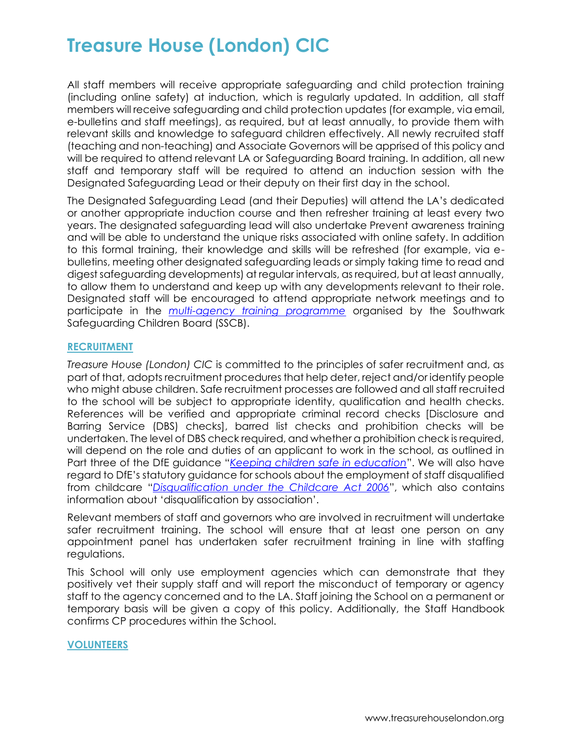All staff members will receive appropriate safeguarding and child protection training (including online safety) at induction, which is regularly updated. In addition, all staff members will receive safeguarding and child protection updates (for example, via email, e-bulletins and staff meetings), as required, but at least annually, to provide them with relevant skills and knowledge to safeguard children effectively. All newly recruited staff (teaching and non-teaching) and Associate Governors will be apprised of this policy and will be required to attend relevant LA or Safeguarding Board training. In addition, all new staff and temporary staff will be required to attend an induction session with the Designated Safeguarding Lead or their deputy on their first day in the school.

The Designated Safeguarding Lead (and their Deputies) will attend the LA's dedicated or another appropriate induction course and then refresher training at least every two years. The designated safeguarding lead will also undertake Prevent awareness training and will be able to understand the unique risks associated with online safety. In addition to this formal training, their knowledge and skills will be refreshed (for example, via ebulletins, meeting other designated safeguarding leads or simply taking time to read and digest safeguarding developments) at regular intervals, as required, but at least annually, to allow them to understand and keep up with any developments relevant to their role. Designated staff will be encouraged to attend appropriate network meetings and to participate in the *[multi-agency training programme](http://www.mylearningsource.co.uk/category/safeguarding)* organised by the Southwark Safeguarding Children Board (SSCB).

### **RECRUITMENT**

*Treasure House (London) CIC* is committed to the principles of safer recruitment and, as part of that, adopts recruitment procedures that help deter, reject and/or identify people who might abuse children. Safe recruitment processes are followed and all staff recruited to the school will be subject to appropriate identity, qualification and health checks. References will be verified and appropriate criminal record checks [Disclosure and Barring Service (DBS) checks], barred list checks and prohibition checks will be undertaken. The level of DBS check required, and whether a prohibition check is required, will depend on the role and duties of an applicant to work in the school, as outlined in Part three of the DfE guidance "*[Keeping children safe in education](https://www.gov.uk/government/publications/keeping-children-safe-in-education--2)*". We will also have regard to DfE's statutory guidance for schools about the employment of staff disqualified from childcare "*[Disqualification under the Childcare Act 2006](https://www.gov.uk/government/publications/disqualification-under-the-childcare-act-2006)*", which also contains information about 'disqualification by association'.

Relevant members of staff and governors who are involved in recruitment will undertake safer recruitment training. The school will ensure that at least one person on any appointment panel has undertaken safer recruitment training in line with staffing regulations.

This School will only use employment agencies which can demonstrate that they positively vet their supply staff and will report the misconduct of temporary or agency staff to the agency concerned and to the LA. Staff joining the School on a permanent or temporary basis will be given a copy of this policy. Additionally, the Staff Handbook confirms CP procedures within the School.

## **VOLUNTEERS**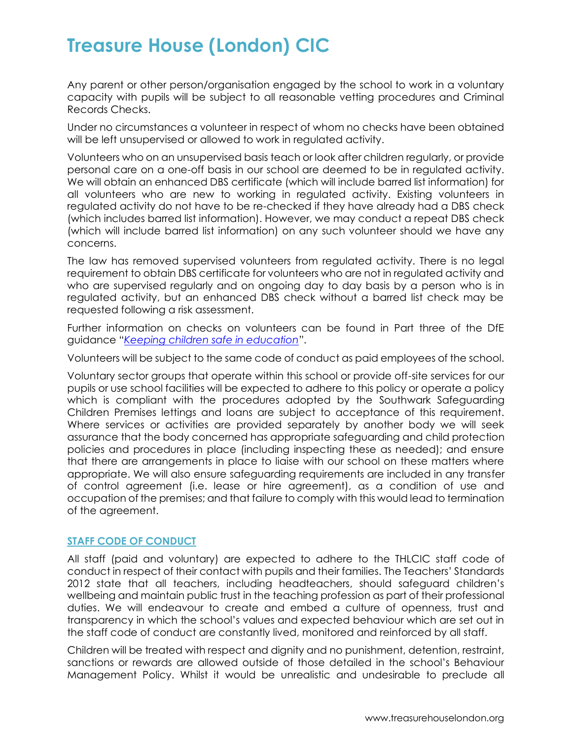Any parent or other person/organisation engaged by the school to work in a voluntary capacity with pupils will be subject to all reasonable vetting procedures and Criminal Records Checks.

Under no circumstances a volunteer in respect of whom no checks have been obtained will be left unsupervised or allowed to work in regulated activity.

Volunteers who on an unsupervised basis teach or look after children regularly, or provide personal care on a one-off basis in our school are deemed to be in regulated activity. We will obtain an enhanced DBS certificate (which will include barred list information) for all volunteers who are new to working in regulated activity. Existing volunteers in regulated activity do not have to be re-checked if they have already had a DBS check (which includes barred list information). However, we may conduct a repeat DBS check (which will include barred list information) on any such volunteer should we have any concerns.

The law has removed supervised volunteers from regulated activity. There is no legal requirement to obtain DBS certificate for volunteers who are not in regulated activity and who are supervised regularly and on ongoing day to day basis by a person who is in regulated activity, but an enhanced DBS check without a barred list check may be requested following a risk assessment.

Further information on checks on volunteers can be found in Part three of the DfE guidance "*[Keeping children safe in education](https://www.gov.uk/government/publications/keeping-children-safe-in-education--2)*".

Volunteers will be subject to the same code of conduct as paid employees of the school.

Voluntary sector groups that operate within this school or provide off-site services for our pupils or use school facilities will be expected to adhere to this policy or operate a policy which is compliant with the procedures adopted by the Southwark Safeguarding Children Premises lettings and loans are subject to acceptance of this requirement. Where services or activities are provided separately by another body we will seek assurance that the body concerned has appropriate safeguarding and child protection policies and procedures in place (including inspecting these as needed); and ensure that there are arrangements in place to liaise with our school on these matters where appropriate. We will also ensure safeguarding requirements are included in any transfer of control agreement (i.e. lease or hire agreement), as a condition of use and occupation of the premises; and that failure to comply with this would lead to termination of the agreement.

### **STAFF CODE OF CONDUCT**

All staff (paid and voluntary) are expected to adhere to the THLCIC staff code of conduct in respect of their contact with pupils and their families. The Teachers' Standards 2012 state that all teachers, including headteachers, should safeguard children's wellbeing and maintain public trust in the teaching profession as part of their professional duties. We will endeavour to create and embed a culture of openness, trust and transparency in which the school's values and expected behaviour which are set out in the staff code of conduct are constantly lived, monitored and reinforced by all staff.

Children will be treated with respect and dignity and no punishment, detention, restraint, sanctions or rewards are allowed outside of those detailed in the school's Behaviour Management Policy. Whilst it would be unrealistic and undesirable to preclude all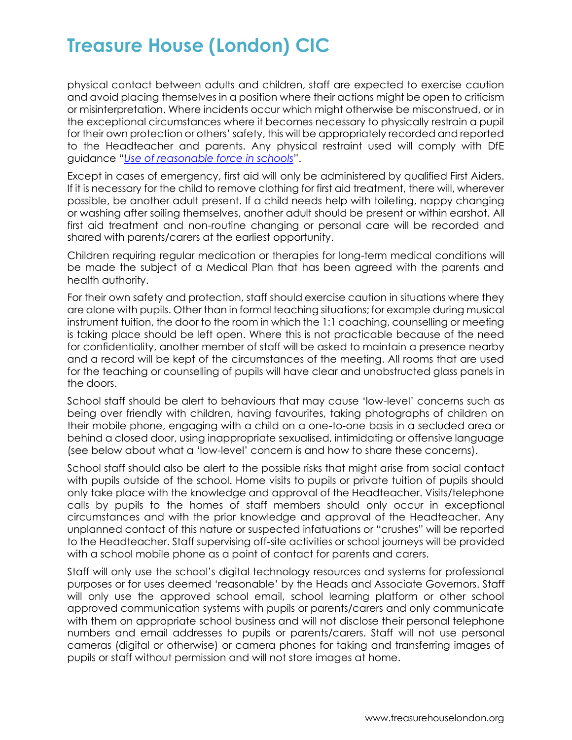physical contact between adults and children, staff are expected to exercise caution and avoid placing themselves in a position where their actions might be open to criticism or misinterpretation. Where incidents occur which might otherwise be misconstrued, or in the exceptional circumstances where it becomes necessary to physically restrain a pupil for their own protection or others' safety, this will be appropriately recorded and reported to the Headteacher and parents. Any physical restraint used will comply with DfE guidance "*[Use of reasonable force in schools](https://www.gov.uk/government/publications/use-of-reasonable-force-in-schools)*".

Except in cases of emergency, first aid will only be administered by qualified First Aiders. If it is necessary for the child to remove clothing for first aid treatment, there will, wherever possible, be another adult present. If a child needs help with toileting, nappy changing or washing after soiling themselves, another adult should be present or within earshot. All first aid treatment and non-routine changing or personal care will be recorded and shared with parents/carers at the earliest opportunity.

Children requiring regular medication or therapies for long-term medical conditions will be made the subject of a Medical Plan that has been agreed with the parents and health authority.

For their own safety and protection, staff should exercise caution in situations where they are alone with pupils. Other than in formal teaching situations; for example during musical instrument tuition, the door to the room in which the 1:1 coaching, counselling or meeting is taking place should be left open. Where this is not practicable because of the need for confidentiality, another member of staff will be asked to maintain a presence nearby and a record will be kept of the circumstances of the meeting. All rooms that are used for the teaching or counselling of pupils will have clear and unobstructed glass panels in the doors.

School staff should be alert to behaviours that may cause 'low-level' concerns such as being over friendly with children, having favourites, taking photographs of children on their mobile phone, engaging with a child on a one-to-one basis in a secluded area or behind a closed door, using inappropriate sexualised, intimidating or offensive language (see below about what a 'low-level' concern is and how to share these concerns).

School staff should also be alert to the possible risks that might arise from social contact with pupils outside of the school. Home visits to pupils or private tuition of pupils should only take place with the knowledge and approval of the Headteacher. Visits/telephone calls by pupils to the homes of staff members should only occur in exceptional circumstances and with the prior knowledge and approval of the Headteacher. Any unplanned contact of this nature or suspected infatuations or "crushes" will be reported to the Headteacher. Staff supervising off-site activities or school journeys will be provided with a school mobile phone as a point of contact for parents and carers.

Staff will only use the school's digital technology resources and systems for professional purposes or for uses deemed 'reasonable' by the Heads and Associate Governors. Staff will only use the approved school email, school learning platform or other school approved communication systems with pupils or parents/carers and only communicate with them on appropriate school business and will not disclose their personal telephone numbers and email addresses to pupils or parents/carers. Staff will not use personal cameras (digital or otherwise) or camera phones for taking and transferring images of pupils or staff without permission and will not store images at home.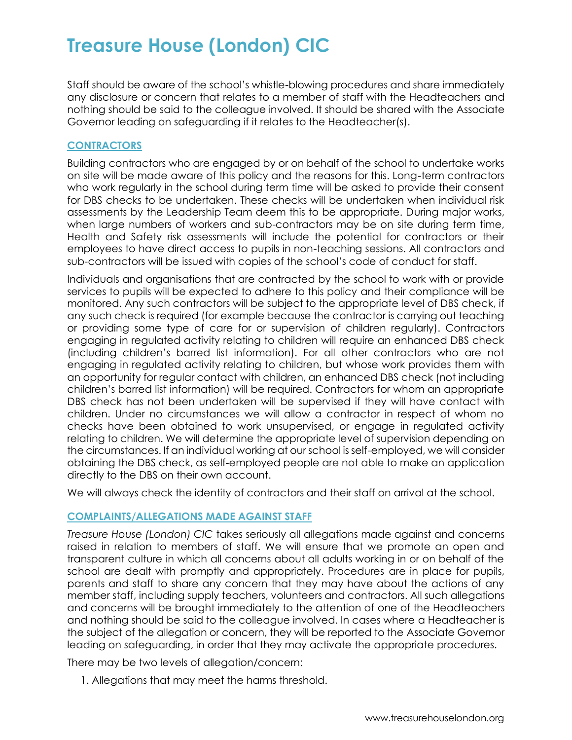Staff should be aware of the school's whistle-blowing procedures and share immediately any disclosure or concern that relates to a member of staff with the Headteachers and nothing should be said to the colleague involved. It should be shared with the Associate Governor leading on safeguarding if it relates to the Headteacher(s).

## **CONTRACTORS**

Building contractors who are engaged by or on behalf of the school to undertake works on site will be made aware of this policy and the reasons for this. Long-term contractors who work regularly in the school during term time will be asked to provide their consent for DBS checks to be undertaken. These checks will be undertaken when individual risk assessments by the Leadership Team deem this to be appropriate. During major works, when large numbers of workers and sub-contractors may be on site during term time, Health and Safety risk assessments will include the potential for contractors or their employees to have direct access to pupils in non-teaching sessions. All contractors and sub-contractors will be issued with copies of the school's code of conduct for staff.

Individuals and organisations that are contracted by the school to work with or provide services to pupils will be expected to adhere to this policy and their compliance will be monitored. Any such contractors will be subject to the appropriate level of DBS check, if any such check is required (for example because the contractor is carrying out teaching or providing some type of care for or supervision of children regularly). Contractors engaging in regulated activity relating to children will require an enhanced DBS check (including children's barred list information). For all other contractors who are not engaging in regulated activity relating to children, but whose work provides them with an opportunity for regular contact with children, an enhanced DBS check (not including children's barred list information) will be required. Contractors for whom an appropriate DBS check has not been undertaken will be supervised if they will have contact with children. Under no circumstances we will allow a contractor in respect of whom no checks have been obtained to work unsupervised, or engage in regulated activity relating to children. We will determine the appropriate level of supervision depending on the circumstances. If an individual working at our school is self-employed, we will consider obtaining the DBS check, as self-employed people are not able to make an application directly to the DBS on their own account.

We will always check the identity of contractors and their staff on arrival at the school.

## **COMPLAINTS/ALLEGATIONS MADE AGAINST STAFF**

*Treasure House (London) CIC* takes seriously all allegations made against and concerns raised in relation to members of staff. We will ensure that we promote an open and transparent culture in which all concerns about all adults working in or on behalf of the school are dealt with promptly and appropriately. Procedures are in place for pupils, parents and staff to share any concern that they may have about the actions of any member staff, including supply teachers, volunteers and contractors. All such allegations and concerns will be brought immediately to the attention of one of the Headteachers and nothing should be said to the colleague involved. In cases where a Headteacher is the subject of the allegation or concern, they will be reported to the Associate Governor leading on safeguarding, in order that they may activate the appropriate procedures.

There may be two levels of allegation/concern:

1. Allegations that may meet the harms threshold.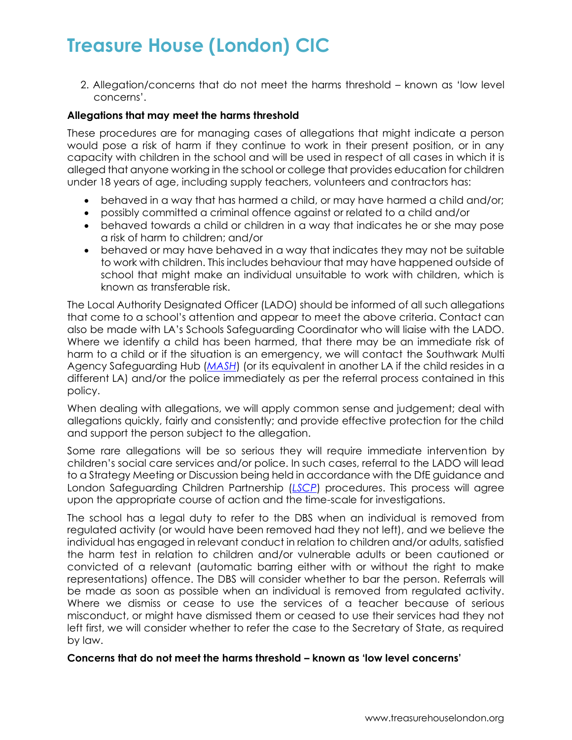2. Allegation/concerns that do not meet the harms threshold – known as 'low level concerns'.

### **Allegations that may meet the harms threshold**

These procedures are for managing cases of allegations that might indicate a person would pose a risk of harm if they continue to work in their present position, or in any capacity with children in the school and will be used in respect of all cases in which it is alleged that anyone working in the school or college that provides education for children under 18 years of age, including supply teachers, volunteers and contractors has:

- behaved in a way that has harmed a child, or may have harmed a child and/or;
- possibly committed a criminal offence against or related to a child and/or
- behaved towards a child or children in a way that indicates he or she may pose a risk of harm to children; and/or
- behaved or may have behaved in a way that indicates they may not be suitable to work with children. This includes behaviour that may have happened outside of school that might make an individual unsuitable to work with children, which is known as transferable risk.

The Local Authority Designated Officer (LADO) should be informed of all such allegations that come to a school's attention and appear to meet the above criteria. Contact can also be made with LA's Schools Safeguarding Coordinator who will liaise with the LADO. Where we identify a child has been harmed, that there may be an immediate risk of harm to a child or if the situation is an emergency, we will contact the Southwark Multi Agency Safeguarding Hub (*[MASH](https://www.southwark.gov.uk/childcare-and-parenting/children-s-social-care/child-protection/multi-agency-safeguarding-hub-mash)*) (or its equivalent in another LA if the child resides in a different LA) and/or the police immediately as per the referral process contained in this policy.

When dealing with allegations, we will apply common sense and judgement; deal with allegations quickly, fairly and consistently; and provide effective protection for the child and support the person subject to the allegation.

Some rare allegations will be so serious they will require immediate intervention by children's social care services and/or police. In such cases, referral to the LADO will lead to a Strategy Meeting or Discussion being held in accordance with the DfE guidance and London Safeguarding Children Partnership (*[LSCP](http://www.londonscb.gov.uk/)*) procedures. This process will agree upon the appropriate course of action and the time-scale for investigations.

The school has a legal duty to refer to the DBS when an individual is removed from regulated activity (or would have been removed had they not left), and we believe the individual has engaged in relevant conduct in relation to children and/or adults, satisfied the harm test in relation to children and/or vulnerable adults or been cautioned or convicted of a relevant (automatic barring either with or without the right to make representations) offence. The DBS will consider whether to bar the person. Referrals will be made as soon as possible when an individual is removed from regulated activity. Where we dismiss or cease to use the services of a teacher because of serious misconduct, or might have dismissed them or ceased to use their services had they not left first, we will consider whether to refer the case to the Secretary of State, as required by law.

### **Concerns that do not meet the harms threshold – known as 'low level concerns'**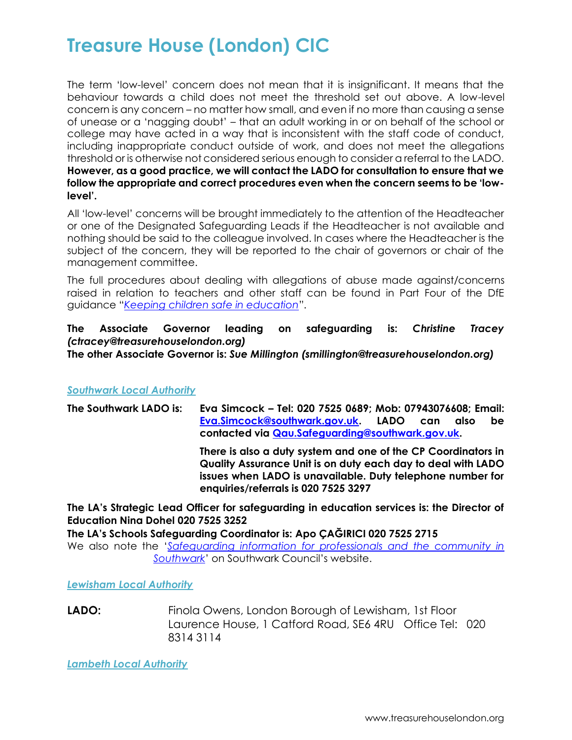The term 'low-level' concern does not mean that it is insignificant. It means that the behaviour towards a child does not meet the threshold set out above. A low-level concern is any concern – no matter how small, and even if no more than causing a sense of unease or a 'nagging doubt' – that an adult working in or on behalf of the school or college may have acted in a way that is inconsistent with the staff code of conduct, including inappropriate conduct outside of work, and does not meet the allegations threshold or is otherwise not considered serious enough to consider a referral to the LADO. **However, as a good practice, we will contact the LADO for consultation to ensure that we follow the appropriate and correct procedures even when the concern seems to be 'lowlevel'.**

All 'low-level' concerns will be brought immediately to the attention of the Headteacher or one of the Designated Safeguarding Leads if the Headteacher is not available and nothing should be said to the colleague involved. In cases where the Headteacher is the subject of the concern, they will be reported to the chair of governors or chair of the management committee.

The full procedures about dealing with allegations of abuse made against/concerns raised in relation to teachers and other staff can be found in Part Four of the DfE guidance "*[Keeping children safe in education](https://www.gov.uk/government/publications/keeping-children-safe-in-education--2)*".

#### **The Associate Governor leading on safeguarding is:** *Christine Tracey (ctracey@treasurehouselondon.org)* **The other Associate Governor is:** *Sue Millington (smillington@treasurehouselondon.org)*

## *Southwark Local Authority*

| The Southwark LADO is: | Eva Simcock - Tel: 020 7525 0689; Mob: 07943076608; Email: |  |  |      |    |  |
|------------------------|------------------------------------------------------------|--|--|------|----|--|
|                        | Eva.Simcock@southwark.gov.uk. LADO can                     |  |  | also | be |  |
|                        | contacted via Qau.Safeguarding@southwark.gov.uk.           |  |  |      |    |  |

**There is also a duty system and one of the CP Coordinators in Quality Assurance Unit is on duty each day to deal with LADO issues when LADO is unavailable. Duty telephone number for enquiries/referrals is 020 7525 3297**

**The LA's Strategic Lead Officer for safeguarding in education services is: the Director of Education Nina Dohel 020 7525 3252**

**The LA's Schools Safeguarding Coordinator is: Apo ÇAĞIRICI 020 7525 2715** We also note the '*[Safeguarding information for professionals and the community in](http://safeguarding.southwark.gov.uk/)* 

*[Southwark](http://safeguarding.southwark.gov.uk/)*' on Southwark Council's website.

*Lewisham Local Authority*

**LADO:** Finola Owens, London Borough of Lewisham, 1st Floor Laurence House, 1 Catford Road, SE6 4RU Office Tel: 020 8314 3114

*Lambeth Local Authority*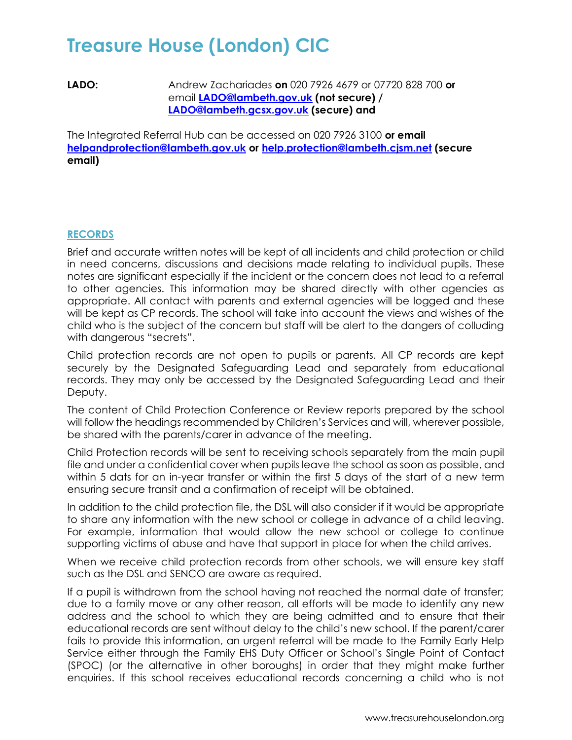**LADO:** Andrew Zachariades **on** 020 7926 4679 or 07720 828 700 **or** email **[LADO@lambeth.gov.uk](mailto:LADO@lambeth.gov.uk) (not secure) / [LADO@lambeth.gcsx.gov.uk](mailto:LADO@lambeth.gscx.gov.uk) (secure) and**

The Integrated Referral Hub can be accessed on 020 7926 3100 **or email [helpandprotection@lambeth.gov.uk](mailto:helpandprotection@lambeth.gov.uk) or [help.protection@lambeth.cjsm.net](mailto:helpandprotection@lambeth.cjsm.net) (secure email)**

## **RECORDS**

Brief and accurate written notes will be kept of all incidents and child protection or child in need concerns, discussions and decisions made relating to individual pupils. These notes are significant especially if the incident or the concern does not lead to a referral to other agencies. This information may be shared directly with other agencies as appropriate. All contact with parents and external agencies will be logged and these will be kept as CP records. The school will take into account the views and wishes of the child who is the subject of the concern but staff will be alert to the dangers of colluding with dangerous "secrets".

Child protection records are not open to pupils or parents. All CP records are kept securely by the Designated Safeguarding Lead and separately from educational records. They may only be accessed by the Designated Safeguarding Lead and their Deputy.

The content of Child Protection Conference or Review reports prepared by the school will follow the headings recommended by Children's Services and will, wherever possible, be shared with the parents/carer in advance of the meeting.

Child Protection records will be sent to receiving schools separately from the main pupil file and under a confidential cover when pupils leave the school as soon as possible, and within 5 dats for an in-year transfer or within the first 5 days of the start of a new term ensuring secure transit and a confirmation of receipt will be obtained.

In addition to the child protection file, the DSL will also consider if it would be appropriate to share any information with the new school or college in advance of a child leaving. For example, information that would allow the new school or college to continue supporting victims of abuse and have that support in place for when the child arrives.

When we receive child protection records from other schools, we will ensure key staff such as the DSL and SENCO are aware as required.

If a pupil is withdrawn from the school having not reached the normal date of transfer; due to a family move or any other reason, all efforts will be made to identify any new address and the school to which they are being admitted and to ensure that their educational records are sent without delay to the child's new school. If the parent/carer fails to provide this information, an urgent referral will be made to the Family Early Help Service either through the Family EHS Duty Officer or School's Single Point of Contact (SPOC) (or the alternative in other boroughs) in order that they might make further enquiries. If this school receives educational records concerning a child who is not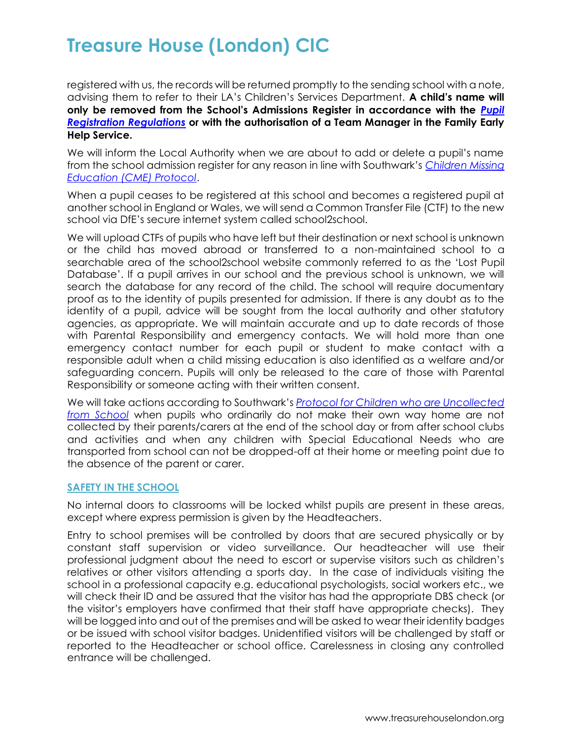registered with us, the records will be returned promptly to the sending school with a note, advising them to refer to their LA's Children's Services Department. **A child's name will only be removed from the School's Admissions Register in accordance with the** *[Pupil](https://www.gov.uk/government/publications/school-attendance)  [Registration Regulations](https://www.gov.uk/government/publications/school-attendance)* **or with the authorisation of a Team Manager in the Family Early Help Service.**

We will inform the Local Authority when we are about to add or delete a pupil's name from the school admission register for any reason in line with Southwark's *[Children Missing](http://schools.southwark.gov.uk/assets/attach/2448/CME%20protocol%20Feb%2017.pdf)  [Education \(CME\) Protocol](http://schools.southwark.gov.uk/assets/attach/2448/CME%20protocol%20Feb%2017.pdf)*.

When a pupil ceases to be registered at this school and becomes a registered pupil at another school in England or Wales, we will send a Common Transfer File (CTF) to the new school via DfE's secure internet system called school2school.

We will upload CTFs of pupils who have left but their destination or next school is unknown or the child has moved abroad or transferred to a non-maintained school to a searchable area of the school2school website commonly referred to as the 'Lost Pupil Database'. If a pupil arrives in our school and the previous school is unknown, we will search the database for any record of the child. The school will require documentary proof as to the identity of pupils presented for admission. If there is any doubt as to the identity of a pupil, advice will be sought from the local authority and other statutory agencies, as appropriate. We will maintain accurate and up to date records of those with Parental Responsibility and emergency contacts. We will hold more than one emergency contact number for each pupil or student to make contact with a responsible adult when a child missing education is also identified as a welfare and/or safeguarding concern. Pupils will only be released to the care of those with Parental Responsibility or someone acting with their written consent.

We will take actions according to Southwark's *[Protocol for Children who are Uncollected](http://schools.southwark.gov.uk/assets/attach/4294/Protocol%20for%20Children%20who%20are%20Uncollected%20from%20School%20(final).docx)  [from School](http://schools.southwark.gov.uk/assets/attach/4294/Protocol%20for%20Children%20who%20are%20Uncollected%20from%20School%20(final).docx)* when pupils who ordinarily do not make their own way home are not collected by their parents/carers at the end of the school day or from after school clubs and activities and when any children with Special Educational Needs who are transported from school can not be dropped-off at their home or meeting point due to the absence of the parent or carer.

### **SAFETY IN THE SCHOOL**

No internal doors to classrooms will be locked whilst pupils are present in these areas, except where express permission is given by the Headteachers.

Entry to school premises will be controlled by doors that are secured physically or by constant staff supervision or video surveillance. Our headteacher will use their professional judgment about the need to escort or supervise visitors such as children's relatives or other visitors attending a sports day. In the case of individuals visiting the school in a professional capacity e.g. educational psychologists, social workers etc., we will check their ID and be assured that the visitor has had the appropriate DBS check (or the visitor's employers have confirmed that their staff have appropriate checks). They will be logged into and out of the premises and will be asked to wear their identity badges or be issued with school visitor badges. Unidentified visitors will be challenged by staff or reported to the Headteacher or school office. Carelessness in closing any controlled entrance will be challenged.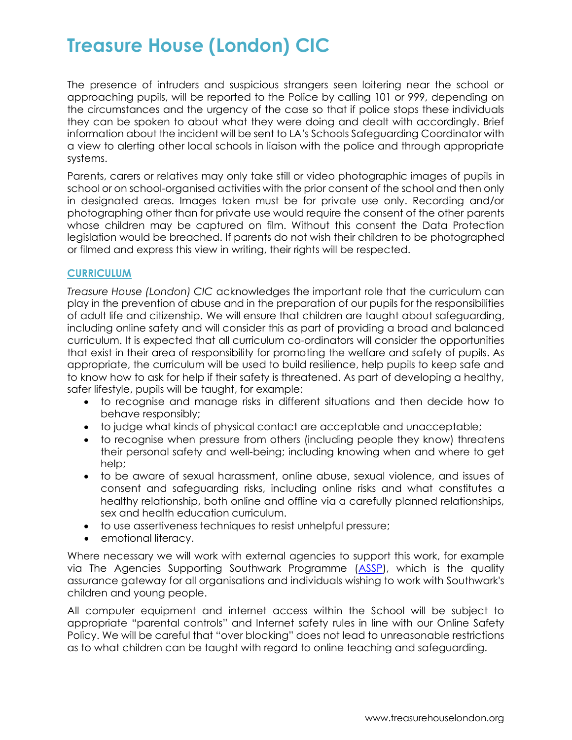The presence of intruders and suspicious strangers seen loitering near the school or approaching pupils, will be reported to the Police by calling 101 or 999, depending on the circumstances and the urgency of the case so that if police stops these individuals they can be spoken to about what they were doing and dealt with accordingly. Brief information about the incident will be sent to LA's Schools Safeguarding Coordinator with a view to alerting other local schools in liaison with the police and through appropriate systems.

Parents, carers or relatives may only take still or video photographic images of pupils in school or on school-organised activities with the prior consent of the school and then only in designated areas. Images taken must be for private use only. Recording and/or photographing other than for private use would require the consent of the other parents whose children may be captured on film. Without this consent the Data Protection legislation would be breached. If parents do not wish their children to be photographed or filmed and express this view in writing, their rights will be respected.

### **CURRICULUM**

*Treasure House (London) CIC* acknowledges the important role that the curriculum can play in the prevention of abuse and in the preparation of our pupils for the responsibilities of adult life and citizenship. We will ensure that children are taught about safeguarding, including online safety and will consider this as part of providing a broad and balanced curriculum. It is expected that all curriculum co-ordinators will consider the opportunities that exist in their area of responsibility for promoting the welfare and safety of pupils. As appropriate, the curriculum will be used to build resilience, help pupils to keep safe and to know how to ask for help if their safety is threatened. As part of developing a healthy, safer lifestyle, pupils will be taught, for example:

- to recognise and manage risks in different situations and then decide how to behave responsibly;
- to judge what kinds of physical contact are acceptable and unacceptable;
- to recognise when pressure from others (including people they know) threatens their personal safety and well-being; including knowing when and where to get help;
- to be aware of sexual harassment, online abuse, sexual violence, and issues of consent and safeguarding risks, including online risks and what constitutes a healthy relationship, both online and offline via a carefully planned relationships, sex and health education curriculum.
- to use assertiveness techniques to resist unhelpful pressure;
- emotional literacy.

Where necessary we will work with external agencies to support this work, for example via The Agencies Supporting Southwark Programme [\(ASSP\)](http://www.southwark.gov.uk/childcare-and-parenting/child-protection/agencies-supporting-southwark-programme-assp), which is the quality assurance gateway for all organisations and individuals wishing to work with Southwark's children and young people.

All computer equipment and internet access within the School will be subject to appropriate "parental controls" and Internet safety rules in line with our Online Safety Policy. We will be careful that "over blocking" does not lead to unreasonable restrictions as to what children can be taught with regard to online teaching and safeguarding.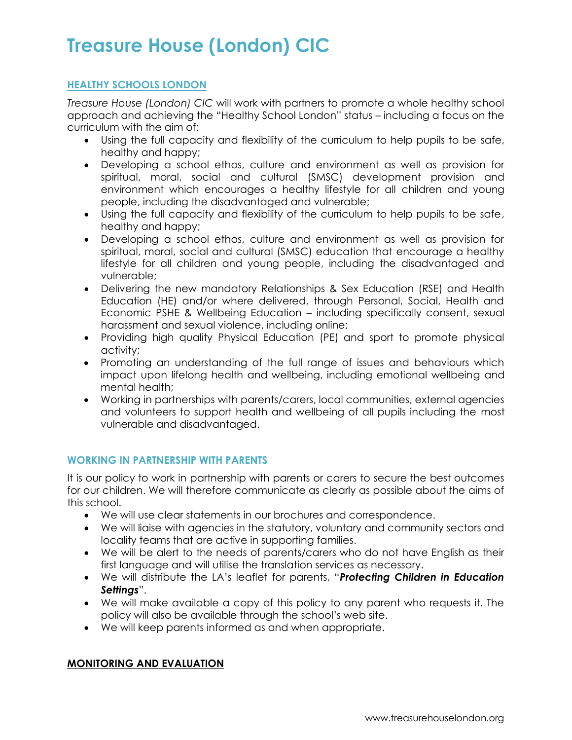## **HEALTHY SCHOOLS LONDON**

*Treasure House (London) CIC* will work with partners to promote a whole healthy school approach and achieving the "Healthy School London" status – including a focus on the curriculum with the aim of:

- Using the full capacity and flexibility of the curriculum to help pupils to be safe, healthy and happy;
- Developing a school ethos, culture and environment as well as provision for spiritual, moral, social and cultural (SMSC) development provision and environment which encourages a healthy lifestyle for all children and young people, including the disadvantaged and vulnerable;
- Using the full capacity and flexibility of the curriculum to help pupils to be safe, healthy and happy;
- Developing a school ethos, culture and environment as well as provision for spiritual, moral, social and cultural (SMSC) education that encourage a healthy lifestyle for all children and young people, including the disadvantaged and vulnerable;
- Delivering the new mandatory Relationships & Sex Education (RSE) and Health Education (HE) and/or where delivered, through Personal, Social, Health and Economic PSHE & Wellbeing Education – including specifically consent, sexual harassment and sexual violence, including online;
- Providing high quality Physical Education (PE) and sport to promote physical activity;
- Promoting an understanding of the full range of issues and behaviours which impact upon lifelong health and wellbeing, including emotional wellbeing and mental health;
- Working in partnerships with parents/carers, local communities, external agencies and volunteers to support health and wellbeing of all pupils including the most vulnerable and disadvantaged.

## **WORKING IN PARTNERSHIP WITH PARENTS**

It is our policy to work in partnership with parents or carers to secure the best outcomes for our children. We will therefore communicate as clearly as possible about the aims of this school.

- We will use clear statements in our brochures and correspondence.
- We will liaise with agencies in the statutory, voluntary and community sectors and locality teams that are active in supporting families.
- We will be alert to the needs of parents/carers who do not have English as their first language and will utilise the translation services as necessary.
- We will distribute the LA's leaflet for parents, "*Protecting Children in Education Settings*".
- We will make available a copy of this policy to any parent who requests it. The policy will also be available through the school's web site.
- We will keep parents informed as and when appropriate.

### **MONITORING AND EVALUATION**